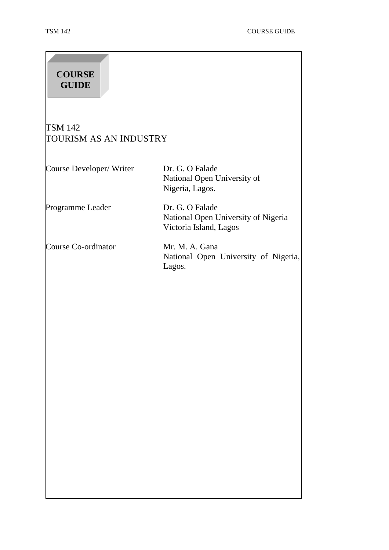| <b>COURSE</b><br><b>GUIDE</b>            |                                                                                  |
|------------------------------------------|----------------------------------------------------------------------------------|
| <b>TSM 142</b><br>TOURISM AS AN INDUSTRY |                                                                                  |
| Course Developer/ Writer                 | Dr. G. O Falade<br>National Open University of<br>Nigeria, Lagos.                |
| Programme Leader                         | Dr. G. O Falade<br>National Open University of Nigeria<br>Victoria Island, Lagos |
| Course Co-ordinator                      | Mr. M. A. Gana<br>National Open University of Nigeria,<br>Lagos.                 |
|                                          |                                                                                  |
|                                          |                                                                                  |
|                                          |                                                                                  |
|                                          |                                                                                  |
|                                          |                                                                                  |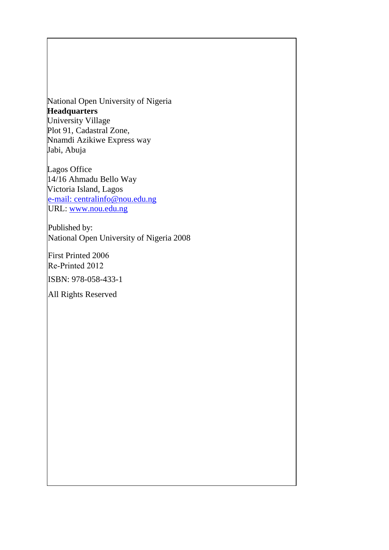National Open University of Nigeria  **Headquarters**  University Village Plot 91, Cadastral Zone, Nnamdi Azikiwe Express way Jabi, Abuja

 Lagos Office 14/16 Ahmadu Bello Way Victoria Island, Lagos e-mail: centralinfo@nou.edu.ng URL: www.nou.edu.ng

Published by: National Open University of Nigeria 2008

ISBN: 978-058-433-1 First Printed 2006 Re-Printed 2012

All Rights Reserved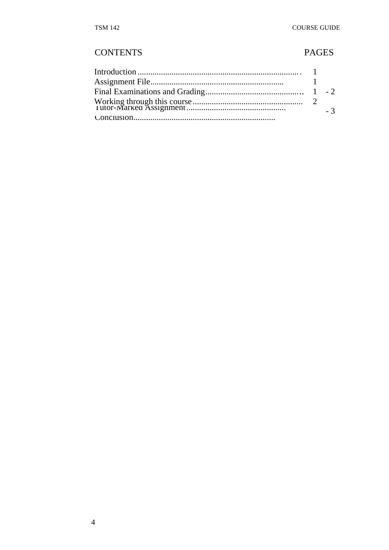# **CONTENTS**

# **PAGES**

|  | $-3$ |
|--|------|
|  |      |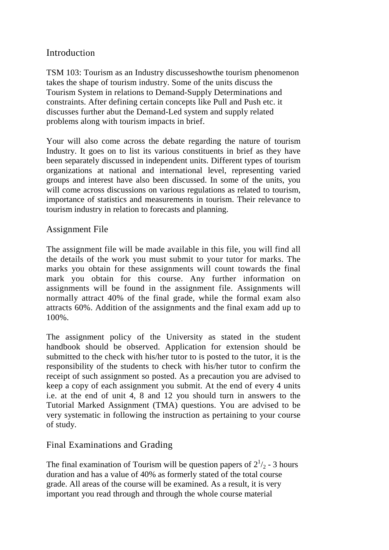## Introduction

TSM 103: Tourism as an Industry discusseshowthe tourism phenomenon takes the shape of tourism industry. Some of the units discuss the Tourism System in relations to Demand-Supply Determinations and constraints. After defining certain concepts like Pull and Push etc. it discusses further abut the Demand-Led system and supply related problems along with tourism impacts in brief.

Your will also come across the debate regarding the nature of tourism Industry. It goes on to list its various constituents in brief as they have been separately discussed in independent units. Different types of tourism organizations at national and international level, representing varied groups and interest have also been discussed. In some of the units, you will come across discussions on various regulations as related to tourism, importance of statistics and measurements in tourism. Their relevance to tourism industry in relation to forecasts and planning.

## Assignment File

The assignment file will be made available in this file, you will find all the details of the work you must submit to your tutor for marks. The marks you obtain for these assignments will count towards the final mark you obtain for this course. Any further information on assignments will be found in the assignment file. Assignments will normally attract 40% of the final grade, while the formal exam also attracts 60%. Addition of the assignments and the final exam add up to 100%.

The assignment policy of the University as stated in the student handbook should be observed. Application for extension should be submitted to the check with his/her tutor to is posted to the tutor, it is the responsibility of the students to check with his/her tutor to confirm the receipt of such assignment so posted. As a precaution you are advised to keep a copy of each assignment you submit. At the end of every 4 units i.e. at the end of unit 4, 8 and 12 you should turn in answers to the Tutorial Marked Assignment (TMA) questions. You are advised to be very systematic in following the instruction as pertaining to your course of study.

## Final Examinations and Grading

The final examination of Tourism will be question papers of  $2^{1/2}$  - 3 hours duration and has a value of 40% as formerly stated of the total course grade. All areas of the course will be examined. As a result, it is very important you read through and through the whole course material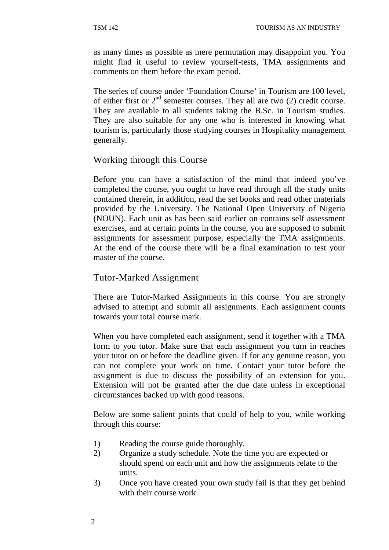as many times as possible as mere permutation may disappoint you. You might find it useful to review yourself-tests, TMA assignments and comments on them before the exam period.

The series of course under 'Foundation Course' in Tourism are 100 level, of either first or  $2<sup>nd</sup>$  semester courses. They all are two (2) credit course. They are available to all students taking the B.Sc. in Tourism studies. They are also suitable for any one who is interested in knowing what tourism is, particularly those studying courses in Hospitality management generally.

## Working through this Course

Before you can have a satisfaction of the mind that indeed you've completed the course, you ought to have read through all the study units contained therein, in addition, read the set books and read other materials provided by the University. The National Open University of Nigeria (NOUN). Each unit as has been said earlier on contains self assessment exercises, and at certain points in the course, you are supposed to submit assignments for assessment purpose, especially the TMA assignments. At the end of the course there will be a final examination to test your master of the course.

#### Tutor-Marked Assignment

There are Tutor-Marked Assignments in this course. You are strongly advised to attempt and submit all assignments. Each assignment counts towards your total course mark.

When you have completed each assignment, send it together with a TMA form to you tutor. Make sure that each assignment you turn in reaches your tutor on or before the deadline given. If for any genuine reason, you can not complete your work on time. Contact your tutor before the assignment is due to discuss the possibility of an extension for you. Extension will not be granted after the due date unless in exceptional circumstances backed up with good reasons.

Below are some salient points that could of help to you, while working through this course:

- 1) Reading the course guide thoroughly.
- 2) Organize a study schedule. Note the time you are expected or should spend on each unit and how the assignments relate to the units.
- 3) Once you have created your own study fail is that they get behind with their course work.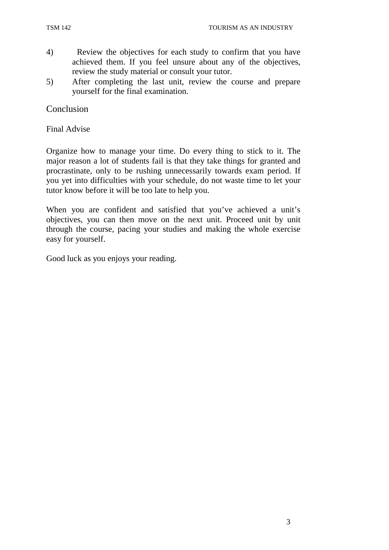- 4) Review the objectives for each study to confirm that you have achieved them. If you feel unsure about any of the objectives, review the study material or consult your tutor.
- 5) After completing the last unit, review the course and prepare yourself for the final examination.

**Conclusion** 

Final Advise

Organize how to manage your time. Do every thing to stick to it. The major reason a lot of students fail is that they take things for granted and procrastinate, only to be rushing unnecessarily towards exam period. If you yet into difficulties with your schedule, do not waste time to let your tutor know before it will be too late to help you.

When you are confident and satisfied that you've achieved a unit's objectives, you can then move on the next unit. Proceed unit by unit through the course, pacing your studies and making the whole exercise easy for yourself.

Good luck as you enjoys your reading.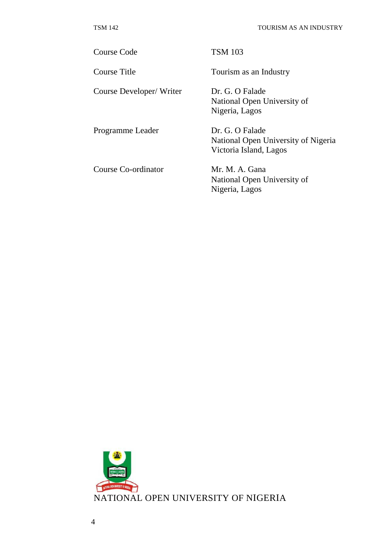Course Code TSM 103

Course Developer/ Writer Dr. G. O Falade

Programme Leader Dr. G. O Falade

Course Co-ordinator Mr. M. A. Gana

Course Title Tourism as an Industry

National Open University of Nigeria, Lagos

National Open University of Nigeria Victoria Island, Lagos

National Open University of Nigeria, Lagos

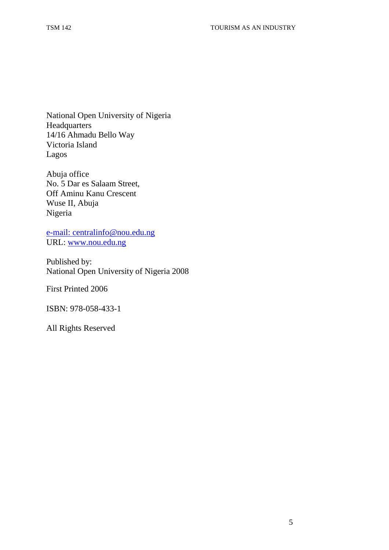National Open University of Nigeria **Headquarters** 14/16 Ahmadu Bello Way Victoria Island Lagos

Abuja office No. 5 Dar es Salaam Street, Off Aminu Kanu Crescent Wuse II, Abuja Nigeria

e-mail: centralinfo@nou.edu.ng URL: www.nou.edu.ng

Published by: National Open University of Nigeria 2008

First Printed 2006

ISBN: 978-058-433-1

All Rights Reserved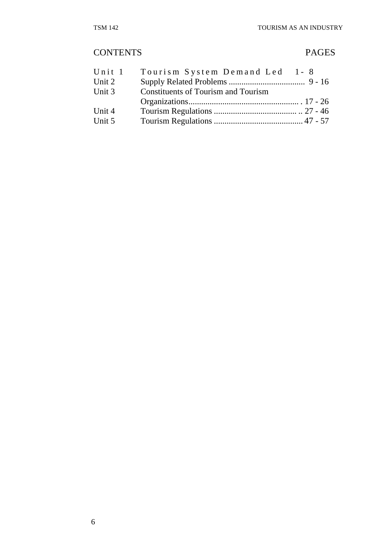# CONTENTS PAGES

| Unit 1 | Tourism System Demand Led 1-8              |  |
|--------|--------------------------------------------|--|
| Unit 2 |                                            |  |
| Unit 3 | <b>Constituents of Tourism and Tourism</b> |  |
|        |                                            |  |
| Unit 4 |                                            |  |
| Unit 5 |                                            |  |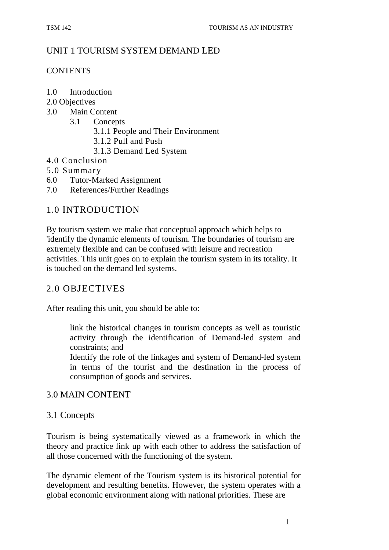## UNIT 1 TOURISM SYSTEM DEMAND LED

#### **CONTENTS**

- 1.0 Introduction
- 2.0 Objectives
- 3.0 Main Content
	- 3.1 Concepts
		- 3.1.1 People and Their Environment
		- 3.1.2 Pull and Push
		- 3.1.3 Demand Led System
- 4.0 Conclusion
- 5.0 Summary
- 6.0 Tutor-Marked Assignment
- 7.0 References/Further Readings

## 1.0 INTRODUCTION

By tourism system we make that conceptual approach which helps to 'identify the dynamic elements of tourism. The boundaries of tourism are extremely flexible and can be confused with leisure and recreation activities. This unit goes on to explain the tourism system in its totality. It is touched on the demand led systems.

## 2.0 OBJECTIVES

After reading this unit, you should be able to:

link the historical changes in tourism concepts as well as touristic activity through the identification of Demand-led system and constraints; and

Identify the role of the linkages and system of Demand-led system in terms of the tourist and the destination in the process of consumption of goods and services.

## 3.0 MAIN CONTENT

## 3.1 Concepts

Tourism is being systematically viewed as a framework in which the theory and practice link up with each other to address the satisfaction of all those concerned with the functioning of the system.

The dynamic element of the Tourism system is its historical potential for development and resulting benefits. However, the system operates with a global economic environment along with national priorities. These are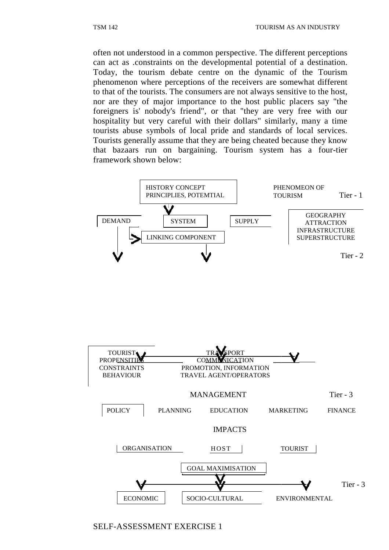often not understood in a common perspective. The different perceptions can act as .constraints on the developmental potential of a destination. Today, the tourism debate centre on the dynamic of the Tourism phenomenon where perceptions of the receivers are somewhat different to that of the tourists. The consumers are not always sensitive to the host, nor are they of major importance to the host public placers say "the foreigners is' nobody's friend", or that "they are very free with our hospitality but very careful with their dollars" similarly, many a time tourists abuse symbols of local pride and standards of local services. Tourists generally assume that they are being cheated because they know that bazaars run on bargaining. Tourism system has a four-tier framework shown below:





SELF-ASSESSMENT EXERCISE 1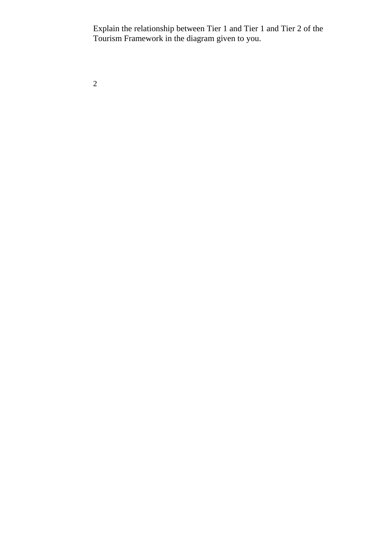Explain the relationship between Tier 1 and Tier 1 and Tier 2 of the Tourism Framework in the diagram given to you.

2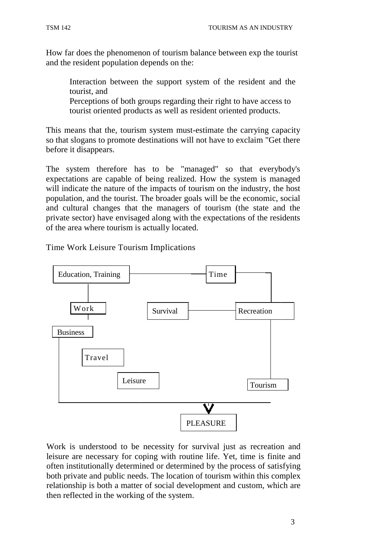How far does the phenomenon of tourism balance between exp the tourist and the resident population depends on the:

Interaction between the support system of the resident and the tourist, and

Perceptions of both groups regarding their right to have access to tourist oriented products as well as resident oriented products.

This means that the, tourism system must-estimate the carrying capacity so that slogans to promote destinations will not have to exclaim "Get there before it disappears.

The system therefore has to be "managed" so that everybody's expectations are capable of being realized. How the system is managed will indicate the nature of the impacts of tourism on the industry, the host population, and the tourist. The broader goals will be the economic, social and cultural changes that the managers of tourism (the state and the private sector) have envisaged along with the expectations of the residents of the area where tourism is actually located.

Time Work Leisure Tourism Implications



Work is understood to be necessity for survival just as recreation and leisure are necessary for coping with routine life. Yet, time is finite and often institutionally determined or determined by the process of satisfying both private and public needs. The location of tourism within this complex relationship is both a matter of social development and custom, which are then reflected in the working of the system. od to be necessity for survival just as recreation and<br>ary for coping with routine life. Yet, time is finite and<br>y determined or determined by the process of satisfying<br>ublic needs. The location of tourism within this comp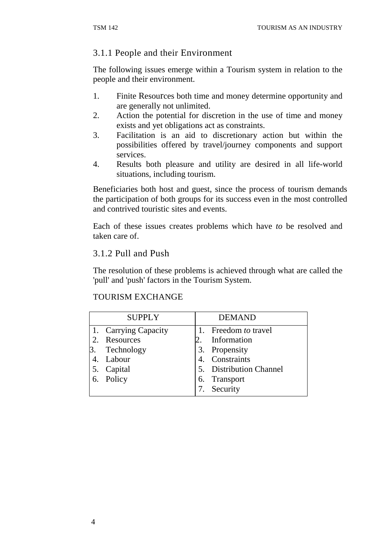## 3.1.1 People and their Environment

The following issues emerge within a Tourism system in relation to the people and their environment.

- 1. Finite Resources both time and money determine opportunity and are generally not unlimited.
- 2. Action the potential for discretion in the use of time and money exists and yet obligations act as constraints.
- 3. Facilitation is an aid to discretionary action but within the possibilities offered by travel/journey components and support services.
- 4. Results both pleasure and utility are desired in all life-world situations, including tourism.

Beneficiaries both host and guest, since the process of tourism demands the participation of both groups for its success even in the most controlled and contrived touristic sites and events.

Each of these issues creates problems which have *to* be resolved and taken care of.

## 3.1.2 Pull and Push

The resolution of these problems is achieved through what are called the 'pull' and 'push' factors in the Tourism System.

## TOURISM EXCHANGE

| <b>SUPPLY</b>        | <b>DEMAND</b>           |
|----------------------|-------------------------|
| 1. Carrying Capacity | 1. Freedom to travel    |
| 2. Resources         | Information             |
| 3. Technology        | 3. Propensity           |
| 4. Labour            | 4. Constraints          |
| 5. Capital           | 5. Distribution Channel |
| 6. Policy            | 6. Transport            |
|                      | Security                |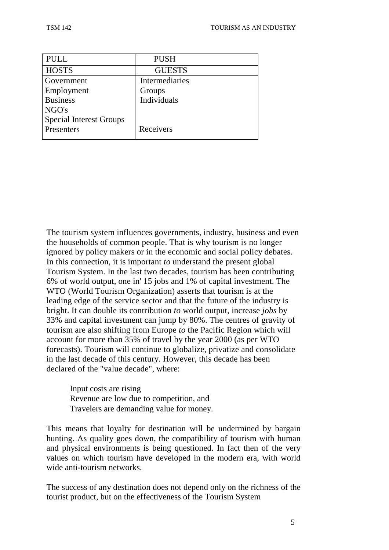| <b>PULL</b>                    | <b>PUSH</b>    |
|--------------------------------|----------------|
| <b>HOSTS</b>                   | <b>GUESTS</b>  |
| Government                     | Intermediaries |
| Employment                     | Groups         |
| <b>Business</b>                | Individuals    |
| NGO's                          |                |
| <b>Special Interest Groups</b> |                |
| Presenters                     | Receivers      |
|                                |                |

The tourism system influences governments, industry, business and even the households of common people. That is why tourism is no longer ignored by policy makers or in the economic and social policy debates. In this connection, it is important *to* understand the present global Tourism System. In the last two decades, tourism has been contributing 6% of world output, one in' 15 jobs and 1% of capital investment. The WTO (World Tourism Organization) asserts that tourism is at the leading edge of the service sector and that the future of the industry is bright. It can double its contribution *to* world output, increase *jobs* by 33% and capital investment can jump by 80%. The centres of gravity of tourism are also shifting from Europe *to* the Pacific Region which will account for more than 35% of travel by the year 2000 (as per WTO forecasts). Tourism will continue to globalize, privatize and consolidate in the last decade of this century. However, this decade has been declared of the "value decade", where:

Input costs are rising Revenue are low due to competition, and Travelers are demanding value for money.

This means that loyalty for destination will be undermined by bargain hunting. As quality goes down, the compatibility of tourism with human and physical environments is being questioned. In fact then of the very values on which tourism have developed in the modern era, with world wide anti-tourism networks.

The success of any destination does not depend only on the richness of the tourist product, but on the effectiveness of the Tourism System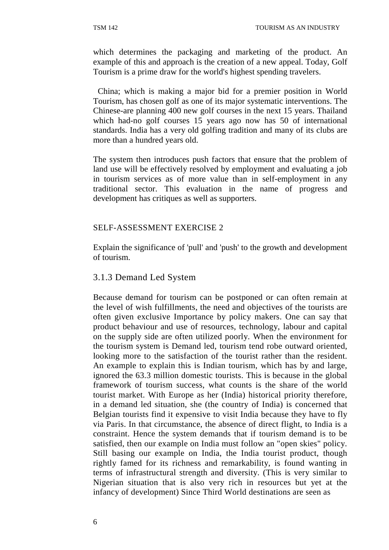which determines the packaging and marketing of the product. An example of this and approach is the creation of a new appeal. Today, Golf Tourism is a prime draw for the world's highest spending travelers.

China; which is making a major bid for a premier position in World Tourism, has chosen golf as one of its major systematic interventions. The Chinese-are planning 400 new golf courses in the next 15 years. Thailand which had-no golf courses 15 years ago now has 50 of international standards. India has a very old golfing tradition and many of its clubs are more than a hundred years old.

The system then introduces push factors that ensure that the problem of land use will be effectively resolved by employment and evaluating a job in tourism services as of more value than in self-employment in any traditional sector. This evaluation in the name of progress and development has critiques as well as supporters.

#### SELF-ASSESSMENT EXERCISE 2

Explain the significance of 'pull' and 'push' to the growth and development of tourism.

#### 3.1.3 Demand Led System

Because demand for tourism can be postponed or can often remain at the level of wish fulfillments, the need and objectives of the tourists are often given exclusive Importance by policy makers. One can say that product behaviour and use of resources, technology, labour and capital on the supply side are often utilized poorly. When the environment for the tourism system is Demand led, tourism tend robe outward oriented, looking more to the satisfaction of the tourist rather than the resident. An example to explain this is Indian tourism, which has by and large, ignored the 63.3 million domestic tourists. This is because in the global framework of tourism success, what counts is the share of the world tourist market. With Europe as her (India) historical priority therefore, in a demand led situation, she (the country of India) is concerned that Belgian tourists find it expensive to visit India because they have to fly via Paris. In that circumstance, the absence of direct flight, to India is a constraint. Hence the system demands that if tourism demand is to be satisfied, then our example on India must follow an "open skies" policy. Still basing our example on India, the India tourist product, though rightly famed for its richness and remarkability, is found wanting in terms of infrastructural strength and diversity. (This is very similar to Nigerian situation that is also very rich in resources but yet at the infancy of development) Since Third World destinations are seen as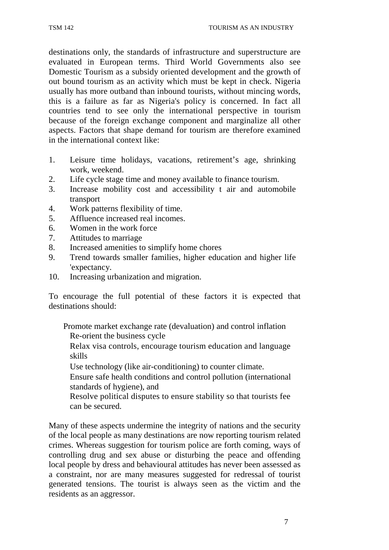destinations only, the standards of infrastructure and superstructure are evaluated in European terms. Third World Governments also see Domestic Tourism as a subsidy oriented development and the growth of out bound tourism as an activity which must be kept in check. Nigeria usually has more outband than inbound tourists, without mincing words, this is a failure as far as Nigeria's policy is concerned. In fact all countries tend to see only the international perspective in tourism because of the foreign exchange component and marginalize all other aspects. Factors that shape demand for tourism are therefore examined in the international context like:

- 1. Leisure time holidays, vacations, retirement's age, shrinking work, weekend.
- 2. Life cycle stage time and money available to finance tourism.
- 3. Increase mobility cost and accessibility t air and automobile transport
- 4. Work patterns flexibility of time.
- 5. Affluence increased real incomes.
- 6. Women in the work force
- 7. Attitudes to marriage
- 8. Increased amenities to simplify home chores
- 9. Trend towards smaller families, higher education and higher life 'expectancy.
- 10. Increasing urbanization and migration.

To encourage the full potential of these factors it is expected that destinations should:

Promote market exchange rate (devaluation) and control inflation Re-orient the business cycle

Relax visa controls, encourage tourism education and language skills

Use technology (like air-conditioning) to counter climate.

Ensure safe health conditions and control pollution (international standards of hygiene), and

Resolve political disputes to ensure stability so that tourists fee can be secured.

Many of these aspects undermine the integrity of nations and the security of the local people as many destinations are now reporting tourism related crimes. Whereas suggestion for tourism police are forth coming, ways of controlling drug and sex abuse or disturbing the peace and offending local people by dress and behavioural attitudes has never been assessed as a constraint, nor are many measures suggested for redressal of tourist generated tensions. The tourist is always seen as the victim and the residents as an aggressor.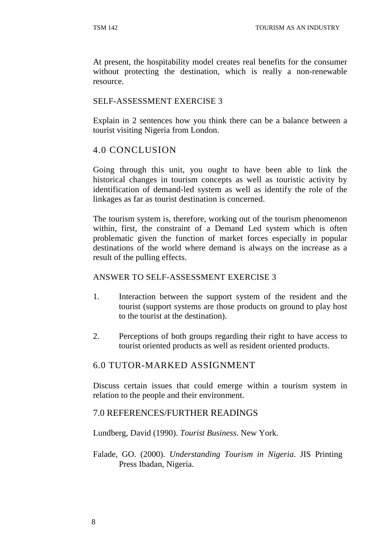At present, the hospitability model creates real benefits for the consumer without protecting the destination, which is really a non-renewable resource.

#### SELF-ASSESSMENT EXERCISE 3

Explain in 2 sentences how you think there can be a balance between a tourist visiting Nigeria from London.

## 4.0 CONCLUSION

Going through this unit, you ought to have been able to link the historical changes in tourism concepts as well as touristic activity by identification of demand-led system as well as identify the role of the linkages as far as tourist destination is concerned.

The tourism system is, therefore, working out of the tourism phenomenon within, first, the constraint of a Demand Led system which is often problematic given the function of market forces especially in popular destinations of the world where demand is always on the increase as a result of the pulling effects.

#### ANSWER TO SELF-ASSESSMENT EXERCISE 3

- 1. Interaction between the support system of the resident and the tourist (support systems are those products on ground to play host to the tourist at the destination).
- 2. Perceptions of both groups regarding their right to have access to tourist oriented products as well as resident oriented products.

#### 6.0 TUTOR-MARKED ASSIGNMENT

Discuss certain issues that could emerge within a tourism system in relation to the people and their environment.

#### 7.0 REFERENCES/FURTHER READINGS

Lundberg, David (1990). *Tourist Business*. New York.

Falade, GO. (2000). *Understanding Tourism in Nigeria*. JIS Printing Press Ibadan, Nigeria.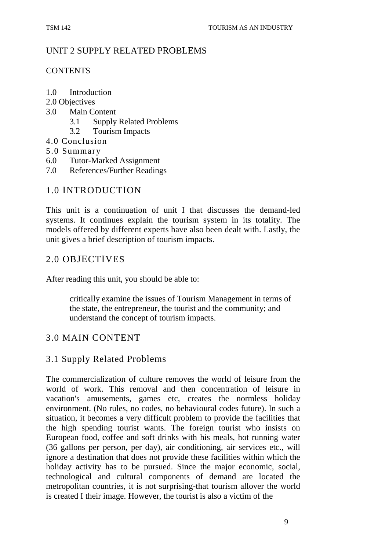## UNIT 2 SUPPLY RELATED PROBLEMS

#### **CONTENTS**

- 1.0 Introduction
- 2.0 Objectives
- 3.0 Main Content
	- 3.1 Supply Related Problems
	- 3.2 Tourism Impacts
- 4.0 Conclusion
- 5.0 Summary
- 6.0 Tutor-Marked Assignment
- 7.0 References/Further Readings

## 1.0 INTRODUCTION

This unit is a continuation of unit I that discusses the demand-led systems. It continues explain the tourism system in its totality. The models offered by different experts have also been dealt with. Lastly, the unit gives a brief description of tourism impacts.

## 2.0 OBJECTIVES

After reading this unit, you should be able to:

critically examine the issues of Tourism Management in terms of the state, the entrepreneur, the tourist and the community; and understand the concept of tourism impacts.

## 3.0 MAIN CONTENT

## 3.1 Supply Related Problems

The commercialization of culture removes the world of leisure from the world of work. This removal and then concentration of leisure in vacation's amusements, games etc, creates the normless holiday environment. (No rules, no codes, no behavioural codes future). In such a situation, it becomes a very difficult problem to provide the facilities that the high spending tourist wants. The foreign tourist who insists on European food, coffee and soft drinks with his meals, hot running water (36 gallons per person, per day), air conditioning, air services etc., will ignore a destination that does not provide these facilities within which the holiday activity has to be pursued. Since the major economic, social, technological and cultural components of demand are located the metropolitan countries, it is not surprising-that tourism allover the world is created I their image. However, the tourist is also a victim of the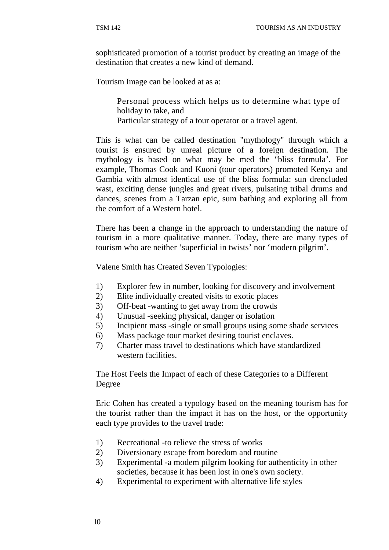sophisticated promotion of a tourist product by creating an image of the destination that creates a new kind of demand.

Tourism Image can be looked at as a:

Personal process which helps us to determine what type of holiday to take, and Particular strategy of a tour operator or a travel agent.

This is what can be called destination "mythology" through which a tourist is ensured by unreal picture of a foreign destination. The mythology is based on what may be med the "bliss formula'. For example, Thomas Cook and Kuoni (tour operators) promoted Kenya and Gambia with almost identical use of the bliss formula: sun drencluded wast, exciting dense jungles and great rivers, pulsating tribal drums and dances, scenes from a Tarzan epic, sum bathing and exploring all from the comfort of a Western hotel.

There has been a change in the approach to understanding the nature of tourism in a more qualitative manner. Today, there are many types of tourism who are neither 'superficial in twists' nor 'modern pilgrim'.

Valene Smith has Created Seven Typologies:

- 1) Explorer few in number, looking for discovery and involvement
- 2) Elite individually created visits to exotic places
- 3) Off-beat -wanting to get away from the crowds
- 4) Unusual -seeking physical, danger or isolation
- 5) Incipient mass -single or small groups using some shade services
- 6) Mass package tour market desiring tourist enclaves.
- 7) Charter mass travel to destinations which have standardized western facilities.

The Host Feels the Impact of each of these Categories to a Different Degree

Eric Cohen has created a typology based on the meaning tourism has for the tourist rather than the impact it has on the host, or the opportunity each type provides to the travel trade:

- 1) Recreational -to relieve the stress of works
- 2) Diversionary escape from boredom and routine
- 3) Experimental -a modem pilgrim looking for authenticity in other societies, because it has been lost in one's own society.
- 4) Experimental to experiment with alternative life styles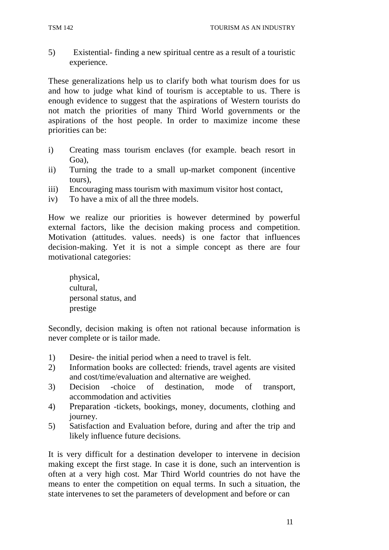5) Existential- finding a new spiritual centre as a result of a touristic experience.

These generalizations help us to clarify both what tourism does for us and how to judge what kind of tourism is acceptable to us. There is enough evidence to suggest that the aspirations of Western tourists do not match the priorities of many Third World governments or the aspirations of the host people. In order to maximize income these priorities can be:

- i) Creating mass tourism enclaves (for example. beach resort in Goa),
- ii) Turning the trade to a small up-market component (incentive tours),
- iii) Encouraging mass tourism with maximum visitor host contact,
- iv) To have a mix of all the three models.

How we realize our priorities is however determined by powerful external factors, like the decision making process and competition. Motivation (attitudes. values. needs) is one factor that influences decision-making. Yet it is not a simple concept as there are four motivational categories:

physical, cultural, personal status, and prestige

Secondly, decision making is often not rational because information is never complete or is tailor made.

- 1) Desire- the initial period when a need to travel is felt.
- 2) Information books are collected: friends, travel agents are visited and cost/time/evaluation and alternative are weighed.
- 3) Decision -choice of destination, mode of transport, accommodation and activities
- 4) Preparation -tickets, bookings, money, documents, clothing and journey.
- 5) Satisfaction and Evaluation before, during and after the trip and likely influence future decisions.

It is very difficult for a destination developer to intervene in decision making except the first stage. In case it is done, such an intervention is often at a very high cost. Mar Third World countries do not have the means to enter the competition on equal terms. In such a situation, the state intervenes to set the parameters of development and before or can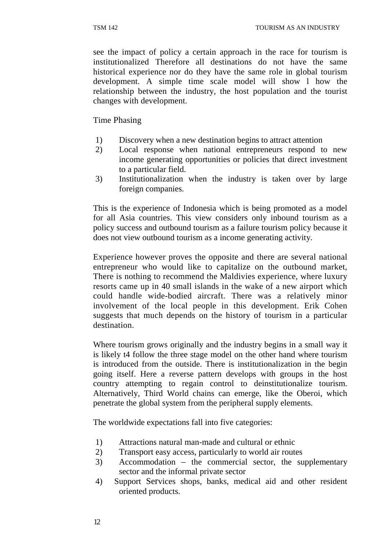see the impact of policy a certain approach in the race for tourism is institutionalized Therefore all destinations do not have the same historical experience nor do they have the same role in global tourism development. A simple time scale model will show l how the relationship between the industry, the host population and the tourist changes with development.

Time Phasing

- 1) Discovery when a new destination begins to attract attention
- 2) Local response when national entrepreneurs respond to new income generating opportunities or policies that direct investment to a particular field.
- 3) Institutionalization when the industry is taken over by large foreign companies.

This is the experience of Indonesia which is being promoted as a model for all Asia countries. This view considers only inbound tourism as a policy success and outbound tourism as a failure tourism policy because it does not view outbound tourism as a income generating activity.

Experience however proves the opposite and there are several national entrepreneur who would like to capitalize on the outbound market, There is nothing to recommend the Maldivies experience, where luxury resorts came up in 40 small islands in the wake of a new airport which could handle wide-bodied aircraft. There was a relatively minor involvement of the local people in this development. Erik Cohen suggests that much depends on the history of tourism in a particular destination.

Where tourism grows originally and the industry begins in a small way it is likely t4 follow the three stage model on the other hand where tourism is introduced from the outside. There is institutionalization in the begin going itself. Here a reverse pattern develops with groups in the host country attempting to regain control to deinstitutionalize tourism. Alternatively, Third World chains can emerge, like the Oberoi, which penetrate the global system from the peripheral supply elements.

The worldwide expectations fall into five categories:

- 1) Attractions natural man-made and cultural or ethnic
- 2) Transport easy access, particularly to world air routes
- 3) Accommodation the commercial sector, the supplementary sector and the informal private sector
- 4) Support Services shops, banks, medical aid and other resident oriented products.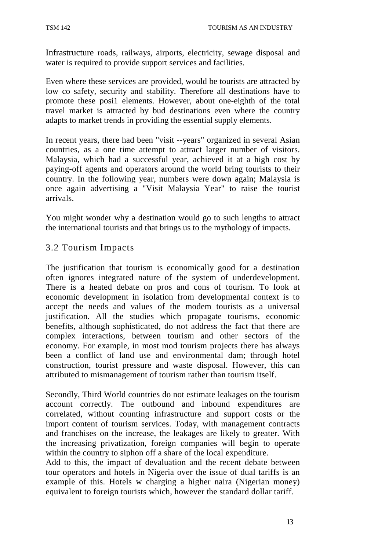Infrastructure roads, railways, airports, electricity, sewage disposal and water is required to provide support services and facilities.

Even where these services are provided, would be tourists are attracted by low co safety, security and stability. Therefore all destinations have to promote these posi1 elements. However, about one-eighth of the total travel market is attracted by bud destinations even where the country adapts to market trends in providing the essential supply elements.

In recent years, there had been "visit --years" organized in several Asian countries, as a one time attempt to attract larger number of visitors. Malaysia, which had a successful year, achieved it at a high cost by paying-off agents and operators around the world bring tourists to their country. In the following year, numbers were down again; Malaysia is once again advertising a "Visit Malaysia Year" to raise the tourist arrivals.

You might wonder why a destination would go to such lengths to attract the international tourists and that brings us to the mythology of impacts.

## 3.2 Tourism Impacts

The justification that tourism is economically good for a destination often ignores integrated nature of the system of underdevelopment. There is a heated debate on pros and cons of tourism. To look at economic development in isolation from developmental context is to accept the needs and values of the modem tourists as a universal justification. All the studies which propagate tourisms, economic benefits, although sophisticated, do not address the fact that there are complex interactions, between tourism and other sectors of the economy. For example, in most mod tourism projects there has always been a conflict of land use and environmental dam; through hotel construction, tourist pressure and waste disposal. However, this can attributed to mismanagement of tourism rather than tourism itself.

Secondly, Third World countries do not estimate leakages on the tourism account correctly. The outbound and inbound expenditures are correlated, without counting infrastructure and support costs or the import content of tourism services. Today, with management contracts and franchises on the increase, the leakages are likely to greater. With the increasing privatization, foreign companies will begin to operate within the country to siphon off a share of the local expenditure.

Add to this, the impact of devaluation and the recent debate between tour operators and hotels in Nigeria over the issue of dual tariffs is an example of this. Hotels w charging a higher naira (Nigerian money) equivalent to foreign tourists which, however the standard dollar tariff.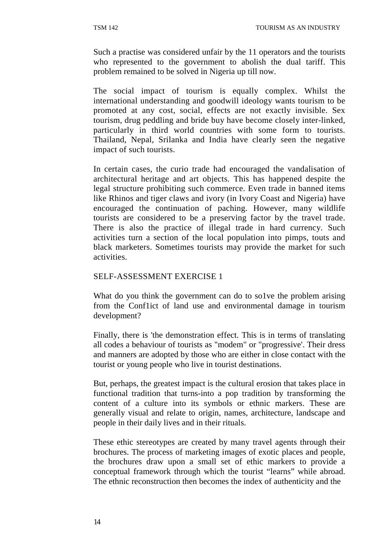Such a practise was considered unfair by the 11 operators and the tourists who represented to the government to abolish the dual tariff. This problem remained to be solved in Nigeria up till now.

The social impact of tourism is equally complex. Whilst the international understanding and goodwill ideology wants tourism to be promoted at any cost, social, effects are not exactly invisible. Sex tourism, drug peddling and bride buy have become closely inter-linked, particularly in third world countries with some form to tourists. Thailand, Nepal, Srilanka and India have clearly seen the negative impact of such tourists.

In certain cases, the curio trade had encouraged the vandalisation of architectural heritage and art objects. This has happened despite the legal structure prohibiting such commerce. Even trade in banned items like Rhinos and tiger claws and ivory (in Ivory Coast and Nigeria) have encouraged the continuation of paching. However, many wildlife tourists are considered to be a preserving factor by the travel trade. There is also the practice of illegal trade in hard currency. Such activities turn a section of the local population into pimps, touts and black marketers. Sometimes tourists may provide the market for such activities.

#### SELF-ASSESSMENT EXERCISE 1

What do you think the government can do to solve the problem arising from the Conf1ict of land use and environmental damage in tourism development?

Finally, there is 'the demonstration effect. This is in terms of translating all codes a behaviour of tourists as "modem" or "progressive'. Their dress and manners are adopted by those who are either in close contact with the tourist or young people who live in tourist destinations.

But, perhaps, the greatest impact is the cultural erosion that takes place in functional tradition that turns-into a pop tradition by transforming the content of a culture into its symbols or ethnic markers. These are generally visual and relate to origin, names, architecture, landscape and people in their daily lives and in their rituals.

These ethic stereotypes are created by many travel agents through their brochures. The process of marketing images of exotic places and people, the brochures draw upon a small set of ethic markers to provide a conceptual framework through which the tourist "learns" while abroad. The ethnic reconstruction then becomes the index of authenticity and the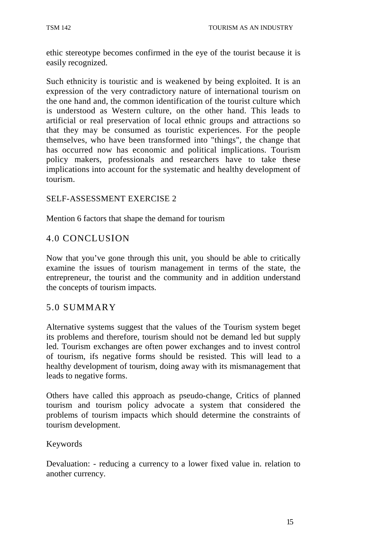ethic stereotype becomes confirmed in the eye of the tourist because it is easily recognized.

Such ethnicity is touristic and is weakened by being exploited. It is an expression of the very contradictory nature of international tourism on the one hand and, the common identification of the tourist culture which is understood as Western culture, on the other hand. This leads to artificial or real preservation of local ethnic groups and attractions so that they may be consumed as touristic experiences. For the people themselves, who have been transformed into "things", the change that has occurred now has economic and political implications. Tourism policy makers, professionals and researchers have to take these implications into account for the systematic and healthy development of tourism.

#### SELF-ASSESSMENT EXERCISE 2

Mention 6 factors that shape the demand for tourism

## 4.0 CONCLUSION

Now that you've gone through this unit, you should be able to critically examine the issues of tourism management in terms of the state, the entrepreneur, the tourist and the community and in addition understand the concepts of tourism impacts.

#### 5.0 SUMMARY

Alternative systems suggest that the values of the Tourism system beget its problems and therefore, tourism should not be demand led but supply led. Tourism exchanges are often power exchanges and to invest control of tourism, ifs negative forms should be resisted. This will lead to a healthy development of tourism, doing away with its mismanagement that leads to negative forms.

Others have called this approach as pseudo-change, Critics of planned tourism and tourism policy advocate a system that considered the problems of tourism impacts which should determine the constraints of tourism development.

#### Keywords

Devaluation: - reducing a currency to a lower fixed value in. relation to another currency.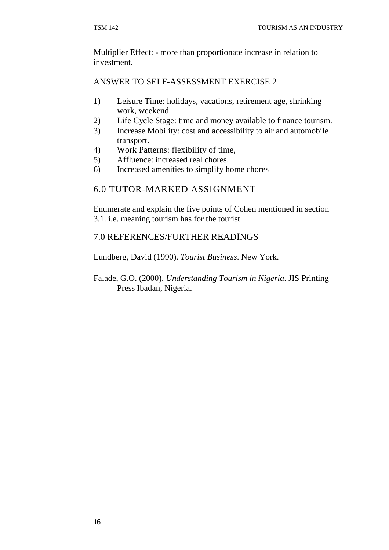Multiplier Effect: - more than proportionate increase in relation to investment.

## ANSWER TO SELF-ASSESSMENT EXERCISE 2

- 1) Leisure Time: holidays, vacations, retirement age, shrinking work, weekend.
- 2) Life Cycle Stage: time and money available to finance tourism.
- 3) Increase Mobility: cost and accessibility to air and automobile transport.
- 4) Work Patterns: flexibility of time,
- 5) Affluence: increased real chores.
- 6) Increased amenities to simplify home chores

## 6.0 TUTOR-MARKED ASSIGNMENT

Enumerate and explain the five points of Cohen mentioned in section 3.1. i.e. meaning tourism has for the tourist.

## 7.0 REFERENCES/FURTHER READINGS

Lundberg, David (1990). *Tourist Business*. New York.

Falade, G.O. (2000). *Understanding Tourism in Nigeria*. JIS Printing Press Ibadan, Nigeria.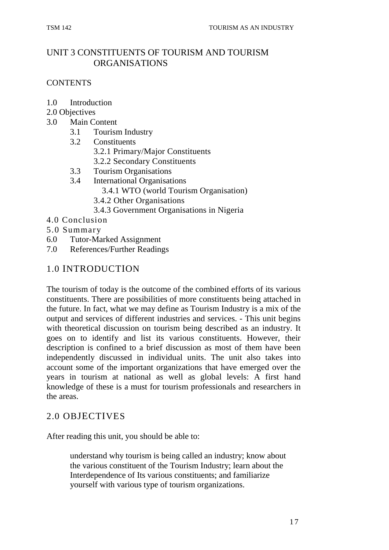## UNIT 3 CONSTITUENTS OF TOURISM AND TOURISM ORGANISATIONS

## **CONTENTS**

- 1.0 Introduction
- 2.0 Objectives
- 3.0 Main Content
	- 3.1 Tourism Industry
	- 3.2 Constituents
		- 3.2.1 Primary/Major Constituents
		- 3.2.2 Secondary Constituents
	- 3.3 Tourism Organisations
	- 3.4 International Organisations
		- 3.4.1 WTO (world Tourism Organisation)
		- 3.4.2 Other Organisations
		- 3.4.3 Government Organisations in Nigeria
- 4.0 Conclusion
- 5.0 Summary
- 6.0 Tutor-Marked Assignment
- 7.0 References/Further Readings

## 1.0 INTRODUCTION

The tourism of today is the outcome of the combined efforts of its various constituents. There are possibilities of more constituents being attached in the future. In fact, what we may define as Tourism Industry is a mix of the output and services of different industries and services. - This unit begins with theoretical discussion on tourism being described as an industry. It goes on to identify and list its various constituents. However, their description is confined to a brief discussion as most of them have been independently discussed in individual units. The unit also takes into account some of the important organizations that have emerged over the years in tourism at national as well as global levels: A first hand knowledge of these is a must for tourism professionals and researchers in the areas.

## 2.0 OBJECTIVES

After reading this unit, you should be able to:

understand why tourism is being called an industry; know about the various constituent of the Tourism Industry; learn about the Interdependence of Its various constituents; and familiarize yourself with various type of tourism organizations.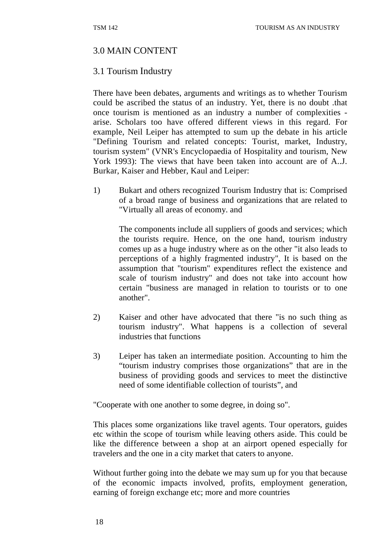## 3.0 MAIN CONTENT

## 3.1 Tourism Industry

There have been debates, arguments and writings as to whether Tourism could be ascribed the status of an industry. Yet, there is no doubt .that once tourism is mentioned as an industry a number of complexities arise. Scholars too have offered different views in this regard. For example, Neil Leiper has attempted to sum up the debate in his article "Defining Tourism and related concepts: Tourist, market, Industry, tourism system" (VNR's Encyclopaedia of Hospitality and tourism, New York 1993): The views that have been taken into account are of A..J. Burkar, Kaiser and Hebber, Kaul and Leiper:

1) Bukart and others recognized Tourism Industry that is: Comprised of a broad range of business and organizations that are related to "Virtually all areas of economy. and

The components include all suppliers of goods and services; which the tourists require. Hence, on the one hand, tourism industry comes up as a huge industry where as on the other "it also leads to perceptions of a highly fragmented industry", It is based on the assumption that "tourism" expenditures reflect the existence and scale of tourism industry" and does not take into account how certain "business are managed in relation to tourists or to one another".

- 2) Kaiser and other have advocated that there "is no such thing as tourism industry". What happens is a collection of several industries that functions
- 3) Leiper has taken an intermediate position. Accounting to him the "tourism industry comprises those organizations" that are in the business of providing goods and services to meet the distinctive need of some identifiable collection of tourists", and

"Cooperate with one another to some degree, in doing so".

This places some organizations like travel agents. Tour operators, guides etc within the scope of tourism while leaving others aside. This could be like the difference between a shop at an airport opened especially for travelers and the one in a city market that caters to anyone.

Without further going into the debate we may sum up for you that because of the economic impacts involved, profits, employment generation, earning of foreign exchange etc; more and more countries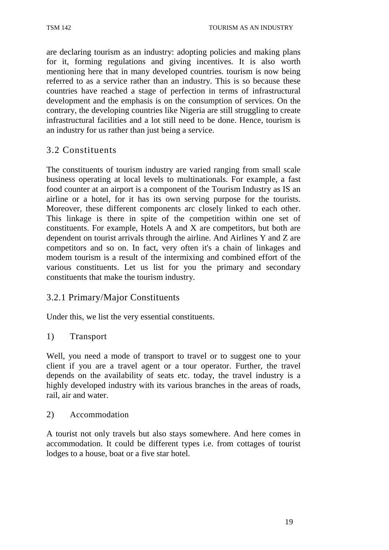are declaring tourism as an industry: adopting policies and making plans for it, forming regulations and giving incentives. It is also worth mentioning here that in many developed countries. tourism is now being referred to as a service rather than an industry. This is so because these countries have reached a stage of perfection in terms of infrastructural development and the emphasis is on the consumption of services. On the contrary, the developing countries like Nigeria are still struggling to create infrastructural facilities and a lot still need to be done. Hence, tourism is an industry for us rather than just being a service.

## 3.2 Constituents

The constituents of tourism industry are varied ranging from small scale business operating at local levels to multinationals. For example, a fast food counter at an airport is a component of the Tourism Industry as IS an airline or a hotel, for it has its own serving purpose for the tourists. Moreover, these different components arc closely linked to each other. This linkage is there in spite of the competition within one set of constituents. For example, Hotels A and X are competitors, but both are dependent on tourist arrivals through the airline. And Airlines Y and Z are competitors and so on. In fact, very often it's a chain of linkages and modem tourism is a result of the intermixing and combined effort of the various constituents. Let us list for you the primary and secondary constituents that make the tourism industry.

## 3.2.1 Primary/Major Constituents

Under this, we list the very essential constituents.

#### 1) Transport

Well, you need a mode of transport to travel or to suggest one to your client if you are a travel agent or a tour operator. Further, the travel depends on the availability of seats etc. today, the travel industry is a highly developed industry with its various branches in the areas of roads, rail, air and water.

#### 2) Accommodation

A tourist not only travels but also stays somewhere. And here comes in accommodation. It could be different types i.e. from cottages of tourist lodges to a house, boat or a five star hotel.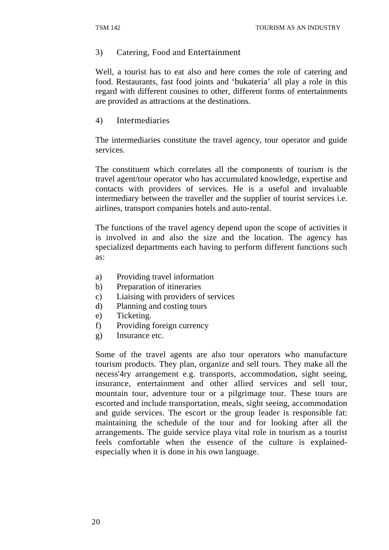#### 3) Catering, Food and Entertainment

Well, a tourist has to eat also and here comes the role of catering and food. Restaurants, fast food joints and 'bukateria' all play a role in this regard with different cousines to other, different forms of entertainments are provided as attractions at the destinations.

#### 4) Intermediaries

The intermediaries constitute the travel agency, tour operator and guide services.

The constituent which correlates all the components of tourism is the travel agent/tour operator who has accumulated knowledge, expertise and contacts with providers of services. He is a useful and invaluable intermediary between the traveller and the supplier of tourist services i.e. airlines, transport companies hotels and auto-rental.

The functions of the travel agency depend upon the scope of activities it is involved in and also the size and the location. The agency has specialized departments each having to perform different functions such as:

- a) Providing travel information
- b) Preparation of itineraries
- c) Liaising with providers of services
- d) Planning and costing tours
- e) Ticketing.
- f) Providing foreign currency
- g) Insurance etc.

Some of the travel agents are also tour operators who manufacture tourism products. They plan, organize and sell tours. They make all the necess'4ry arrangement e.g. transports, accommodation, sight seeing, insurance, entertainment and other allied services and sell tour, mountain tour, adventure tour or a pilgrimage tour. These tours are escorted and include transportation, meals, sight seeing, accommodation and guide services. The escort or the group leader is responsible fat: maintaining the schedule of the tour and for looking after all the arrangements. The guide service playa vital role in tourism as a tourist feels comfortable when the essence of the culture is explainedespecially when it is done in his own language.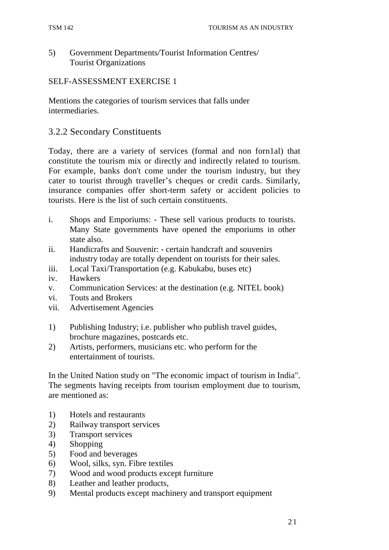#### 5) Government Departments/Tourist Information Centres/ Tourist Organizations

#### SELF-ASSESSMENT EXERCISE 1

Mentions the categories of tourism services that falls under intermediaries.

#### 3.2.2 Secondary Constituents

Today, there are a variety of services (formal and non forn1al) that constitute the tourism mix or directly and indirectly related to tourism. For example, banks don't come under the tourism industry, but they cater to tourist through traveller's cheques or credit cards. Similarly, insurance companies offer short-term safety or accident policies to tourists. Here is the list of such certain constituents.

- i. Shops and Emporiums: These sell various products to tourists. Many State governments have opened the emporiums in other state also.
- ii. Handicrafts and Souvenir: certain handcraft and souvenirs industry today are totally dependent on tourists for their sales.
- iii. Local Taxi/Transportation (e.g. Kabukabu, buses etc)
- iv. Hawkers
- v. Communication Services: at the destination (e.g. NITEL book)
- vi. Touts and Brokers
- vii. Advertisement Agencies
- 1) Publishing Industry; i.e. publisher who publish travel guides, brochure magazines, postcards etc.
- 2) Artists, performers, musicians etc. who perform for the entertainment of tourists.

In the United Nation study on "The economic impact of tourism in India". The segments having receipts from tourism employment due to tourism, are mentioned as:

- 1) Hotels and restaurants
- 2) Railway transport services
- 3) Transport services
- 4) Shopping
- 5) Food and beverages
- 6) Wool, silks, syn. Fibre textiles
- 7) Wood and wood products except furniture
- 8) Leather and leather products,
- 9) Mental products except machinery and transport equipment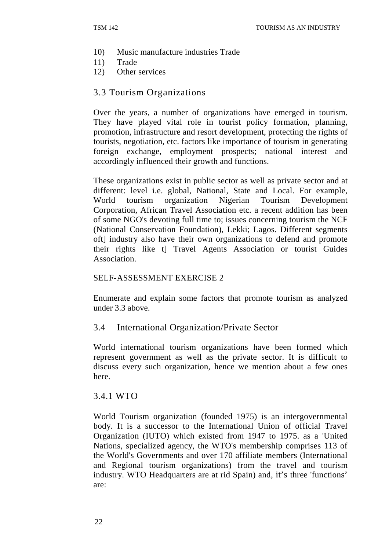- 10) Music manufacture industries Trade
- 11) Trade
- 12) Other services

#### 3.3 Tourism Organizations

Over the years, a number of organizations have emerged in tourism. They have played vital role in tourist policy formation, planning, promotion, infrastructure and resort development, protecting the rights of tourists, negotiation, etc. factors like importance of tourism in generating foreign exchange, employment prospects; national interest and accordingly influenced their growth and functions.

These organizations exist in public sector as well as private sector and at different: level i.e. global, National, State and Local. For example, World tourism organization Nigerian Tourism Development Corporation, African Travel Association etc. a recent addition has been of some NGO's devoting full time to; issues concerning tourism the NCF (National Conservation Foundation), Lekki; Lagos. Different segments oft] industry also have their own organizations to defend and promote their rights like t] Travel Agents Association or tourist Guides Association.

#### SELF-ASSESSMENT EXERCISE 2

Enumerate and explain some factors that promote tourism as analyzed under 3.3 above.

#### 3.4 International Organization/Private Sector

World international tourism organizations have been formed which represent government as well as the private sector. It is difficult to discuss every such organization, hence we mention about a few ones here.

#### 3.4.1 WTO

World Tourism organization (founded 1975) is an intergovernmental body. It is a successor to the International Union of official Travel Organization (IUTO) which existed from 1947 to 1975. as a 'United Nations, specialized agency, the WTO's membership comprises 113 of the World's Governments and over 170 affiliate members (International and Regional tourism organizations) from the travel and tourism industry. WTO Headquarters are at rid Spain) and, it's three 'functions' are: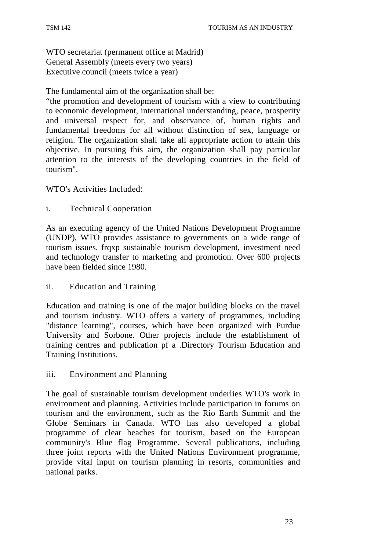WTO secretariat (permanent office at Madrid) General Assembly (meets every two years) Executive council (meets twice a year)

The fundamental aim of the organization shall be:

"the promotion and development of tourism with a view to contributing to economic development, international understanding, peace, prosperity and universal respect for, and observance of, human rights and fundamental freedoms for all without distinction of sex, language or religion. The organization shall take all appropriate action to attain this objective. In pursuing this aim, the organization shall pay particular attention to the interests of the developing countries in the field of tourism".

WTO's Activities Included:

i. Technical Cooperation

As an executing agency of the United Nations Development Programme (UNDP), WTO provides assistance to governments on a wide range of tourism issues. frqxp sustainable tourism development, investment need and technology transfer to marketing and promotion. Over 600 projects have been fielded since 1980.

#### ii. Education and Training

Education and training is one of the major building blocks on the travel and tourism industry. WTO offers a variety of programmes, including "distance learning", courses, which have been organized with Purdue University and Sorbone. Other projects include the establishment of training centres and publication pf a .Directory Tourism Education and Training Institutions.

#### iii. Environment and Planning

The goal of sustainable tourism development underlies WTO's work in environment and planning. Activities include participation in forums on tourism and the environment, such as the Rio Earth Summit and the Globe Seminars in Canada. WTO has also developed a global programme of clear beaches for tourism, based on the European community's Blue flag Programme. Several publications, including three joint reports with the United Nations Environment programme, provide vital input on tourism planning in resorts, communities and national parks.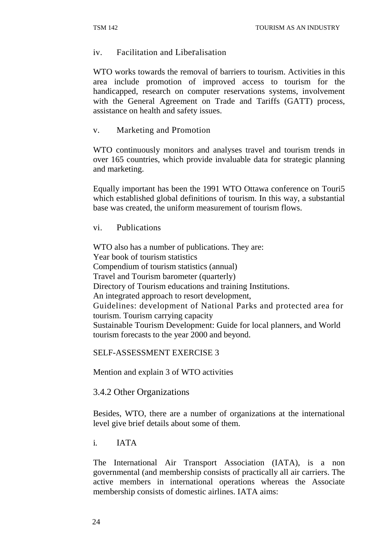#### iv. Facilitation and Liberalisation

WTO works towards the removal of barriers to tourism. Activities in this area include promotion of improved access to tourism for the handicapped, research on computer reservations systems, involvement with the General Agreement on Trade and Tariffs (GATT) process, assistance on health and safety issues.

v. Marketing and Promotion

WTO continuously monitors and analyses travel and tourism trends in over 165 countries, which provide invaluable data for strategic planning and marketing.

Equally important has been the 1991 WTO Ottawa conference on Touri5 which established global definitions of tourism. In this way, a substantial base was created, the uniform measurement of tourism flows.

vi. Publications

WTO also has a number of publications. They are: Year book of tourism statistics Compendium of tourism statistics (annual) Travel and Tourism barometer (quarterly) Directory of Tourism educations and training Institutions. An integrated approach to resort development, Guidelines: development of National Parks and protected area for tourism. Tourism carrying capacity Sustainable Tourism Development: Guide for local planners, and World tourism forecasts to the year 2000 and beyond.

#### SELF-ASSESSMENT EXERCISE 3

Mention and explain 3 of WTO activities

#### 3.4.2 Other Organizations

Besides, WTO, there are a number of organizations at the international level give brief details about some of them.

i. IATA

The International Air Transport Association (IATA), is a non governmental (and membership consists of practically all air carriers. The active members in international operations whereas the Associate membership consists of domestic airlines. IATA aims: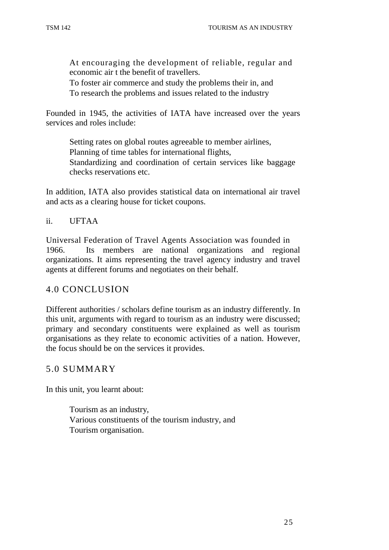At encouraging the development of reliable, regular and economic air t the benefit of travellers.

To foster air commerce and study the problems their in, and To research the problems and issues related to the industry

Founded in 1945, the activities of IATA have increased over the years services and roles include:

Setting rates on global routes agreeable to member airlines, Planning of time tables for international flights, Standardizing and coordination of certain services like baggage checks reservations etc.

In addition, IATA also provides statistical data on international air travel and acts as a clearing house for ticket coupons.

#### ii. UFTAA

Universal Federation of Travel Agents Association was founded in 1966. Its members are national organizations and regional organizations. It aims representing the travel agency industry and travel agents at different forums and negotiates on their behalf.

#### 4.0 CONCLUSION

Different authorities / scholars define tourism as an industry differently. In this unit, arguments with regard to tourism as an industry were discussed; primary and secondary constituents were explained as well as tourism organisations as they relate to economic activities of a nation. However, the focus should be on the services it provides.

#### 5.0 SUMMARY

In this unit, you learnt about:

Tourism as an industry, Various constituents of the tourism industry, and Tourism organisation.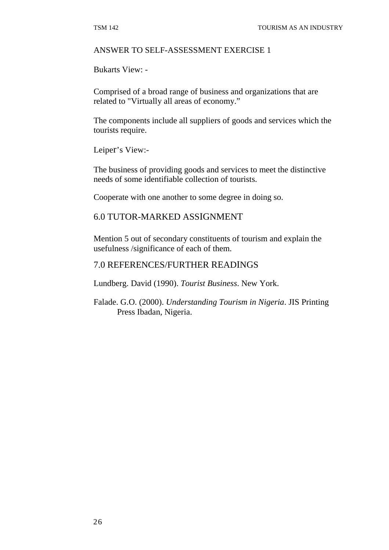#### ANSWER TO SELF-ASSESSMENT EXERCISE 1

Bukarts View: -

Comprised of a broad range of business and organizations that are related to "Virtually all areas of economy."

The components include all suppliers of goods and services which the tourists require.

Leiper's View:-

The business of providing goods and services to meet the distinctive needs of some identifiable collection of tourists.

Cooperate with one another to some degree in doing so.

#### 6.0 TUTOR-MARKED ASSIGNMENT

Mention 5 out of secondary constituents of tourism and explain the usefulness /significance of each of them.

#### 7.0 REFERENCES/FURTHER READINGS

Lundberg. David (1990). *Tourist Business*. New York.

Falade. G.O. (2000). *Understanding Tourism in Nigeria*. JIS Printing Press Ibadan, Nigeria.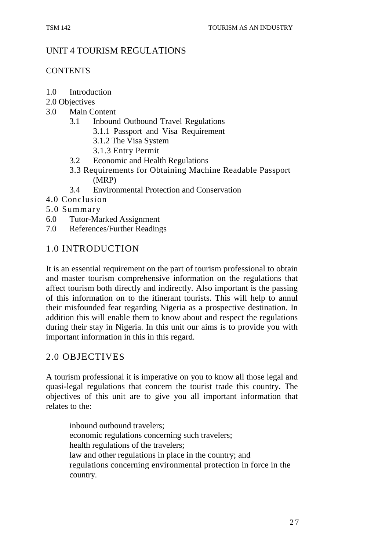## UNIT 4 TOURISM REGULATIONS

## **CONTENTS**

- 1.0 Introduction
- 2.0 Objectives
- 3.0 Main Content
	- 3.1 Inbound Outbound Travel Regulations
		- 3.1.1 Passport and Visa Requirement
		- 3.1.2 The Visa System
		- 3.1.3 Entry Permit
	- 3.2 Economic and Health Regulations
	- 3.3 Requirements for Obtaining Machine Readable Passport (MRP)
	- 3.4 Environmental Protection and Conservation
- 4.0 Conclusion
- 5.0 Summary
- 6.0 Tutor-Marked Assignment
- 7.0 References/Further Readings

## 1.0 INTRODUCTION

It is an essential requirement on the part of tourism professional to obtain and master tourism comprehensive information on the regulations that affect tourism both directly and indirectly. Also important is the passing of this information on to the itinerant tourists. This will help to annul their misfounded fear regarding Nigeria as a prospective destination. In addition this will enable them to know about and respect the regulations during their stay in Nigeria. In this unit our aims is to provide you with important information in this in this regard.

## 2.0 OBJECTIVES

A tourism professional it is imperative on you to know all those legal and quasi-legal regulations that concern the tourist trade this country. The objectives of this unit are to give you all important information that relates to the:

inbound outbound travelers; economic regulations concerning such travelers; health regulations of the travelers; law and other regulations in place in the country; and regulations concerning environmental protection in force in the country.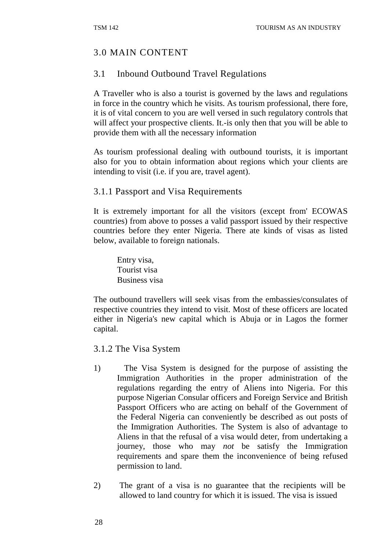# 3.0 MAIN CONTENT

## 3.1 Inbound Outbound Travel Regulations

A Traveller who is also a tourist is governed by the laws and regulations in force in the country which he visits. As tourism professional, there fore, it is of vital concern to you are well versed in such regulatory controls that will affect your prospective clients. It - is only then that you will be able to provide them with all the necessary information

As tourism professional dealing with outbound tourists, it is important also for you to obtain information about regions which your clients are intending to visit (i.e. if you are, travel agent).

## 3.1.1 Passport and Visa Requirements

It is extremely important for all the visitors (except from' ECOWAS countries) from above to posses a valid passport issued by their respective countries before they enter Nigeria. There ate kinds of visas as listed below, available to foreign nationals.

Entry visa, Tourist visa Business visa

The outbound travellers will seek visas from the embassies/consulates of respective countries they intend to visit. Most of these officers are located either in Nigeria's new capital which is Abuja or in Lagos the former capital.

3.1.2 The Visa System

- 1) The Visa System is designed for the purpose of assisting the Immigration Authorities in the proper administration of the regulations regarding the entry of Aliens into Nigeria. For this purpose Nigerian Consular officers and Foreign Service and British Passport Officers who are acting on behalf of the Government of the Federal Nigeria can conveniently be described as out posts of the Immigration Authorities. The System is also of advantage to Aliens in that the refusal of a visa would deter, from undertaking a journey, those who may *not* be satisfy the Immigration requirements and spare them the inconvenience of being refused permission to land.
- 2) The grant of a visa is no guarantee that the recipients will be allowed to land country for which it is issued. The visa is issued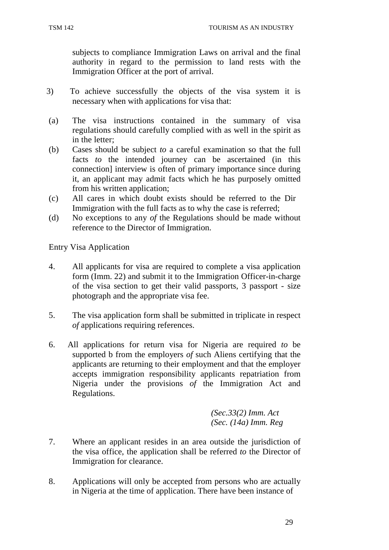subjects to compliance Immigration Laws on arrival and the final authority in regard to the permission to land rests with the Immigration Officer at the port of arrival.

- 3) To achieve successfully the objects of the visa system it is necessary when with applications for visa that:
- (a) The visa instructions contained in the summary of visa regulations should carefully complied with as well in the spirit as in the letter;
- (b) Cases should be subject *to* a careful examination so that the full facts *to* the intended journey can be ascertained (in this connection] interview is often of primary importance since during it, an applicant may admit facts which he has purposely omitted from his written application;
- (c) All cares in which doubt exists should be referred to the Dir Immigration with the full facts as to why the case is referred;
- (d) No exceptions to any *of* the Regulations should be made without reference to the Director of Immigration.

Entry Visa Application

- 4. All applicants for visa are required to complete a visa application form (Imm. 22) and submit it to the Immigration Officer-in-charge of the visa section to get their valid passports, 3 passport - size photograph and the appropriate visa fee.
- 5. The visa application form shall be submitted in triplicate in respect *of* applications requiring references.
- 6. All applications for return visa for Nigeria are required *to* be supported b from the employers *of* such Aliens certifying that the applicants are returning to their employment and that the employer accepts immigration responsibility applicants repatriation from Nigeria under the provisions *of* the Immigration Act and Regulations.

*(Sec.33(2) Imm. Act (Sec. (14a) Imm. Reg* 

- 7. Where an applicant resides in an area outside the jurisdiction of the visa office, the application shall be referred *to* the Director of Immigration for clearance.
- 8. Applications will only be accepted from persons who are actually in Nigeria at the time of application. There have been instance of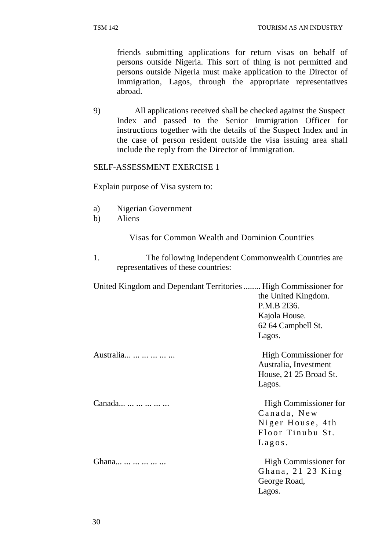friends submitting applications for return visas on behalf of persons outside Nigeria. This sort of thing is not permitted and persons outside Nigeria must make application to the Director of Immigration, Lagos, through the appropriate representatives abroad.

9) All applications received shall be checked against the Suspect Index and passed to the Senior Immigration Officer for instructions together with the details of the Suspect Index and in the case of person resident outside the visa issuing area shall include the reply from the Director of Immigration.

#### SELF-ASSESSMENT EXERCISE 1

Explain purpose of Visa system to:

- a) Nigerian Government
- b) Aliens

Visas for Common Wealth and Dominion Countries

1. The following Independent Commonwealth Countries are representatives of these countries:

| United Kingdom and Dependant Territories  High Commissioner for |                                                                          |
|-----------------------------------------------------------------|--------------------------------------------------------------------------|
|                                                                 | the United Kingdom.                                                      |
|                                                                 | P.M.B 2136.                                                              |
|                                                                 | Kajola House.                                                            |
|                                                                 | 62 64 Campbell St.                                                       |
|                                                                 | Lagos.                                                                   |
| Australia                                                       | High Commissioner for<br>Australia, Investment<br>House, 21 25 Broad St. |
|                                                                 | Lagos.                                                                   |
| Canada                                                          | High Commissioner for                                                    |
|                                                                 | Canada, New                                                              |
|                                                                 | Niger House, 4th                                                         |
|                                                                 | Floor Tinubu St.                                                         |
|                                                                 | Lagsos.                                                                  |
| Ghana                                                           | High Commissioner for                                                    |
|                                                                 | Ghana, 21 23 King                                                        |
|                                                                 | George Road,                                                             |
|                                                                 | Lagos.                                                                   |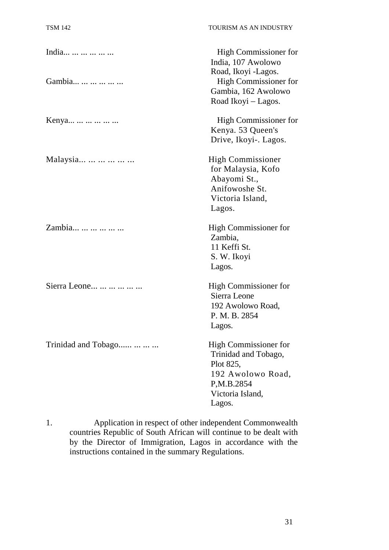| India               | High Commissioner for<br>India, 107 Awolowo<br>Road, Ikoyi -Lagos.                                                          |
|---------------------|-----------------------------------------------------------------------------------------------------------------------------|
| Gambia              | <b>High Commissioner for</b><br>Gambia, 162 Awolowo<br>Road Ikoyi – Lagos.                                                  |
| Kenya               | <b>High Commissioner for</b><br>Kenya. 53 Queen's<br>Drive, Ikoyi-. Lagos.                                                  |
| Malaysia            | <b>High Commissioner</b><br>for Malaysia, Kofo<br>Abayomi St.,<br>Anifowoshe St.<br>Victoria Island,<br>Lagos.              |
| Zambia              | High Commissioner for<br>Zambia,<br>11 Keffi St.<br>S. W. Ikoyi<br>Lagos.                                                   |
| Sierra Leone        | High Commissioner for<br>Sierra Leone<br>192 Awolowo Road,<br>P. M. B. 2854<br>Lagos.                                       |
| Trinidad and Tobago | High Commissioner for<br>Trinidad and Tobago,<br>Plot 825,<br>192 Awolowo Road,<br>P,M.B.2854<br>Victoria Island,<br>Lagos. |

1. Application in respect of other independent Commonwealth countries Republic of South African will continue to be dealt with by the Director of Immigration, Lagos in accordance with the instructions contained in the summary Regulations.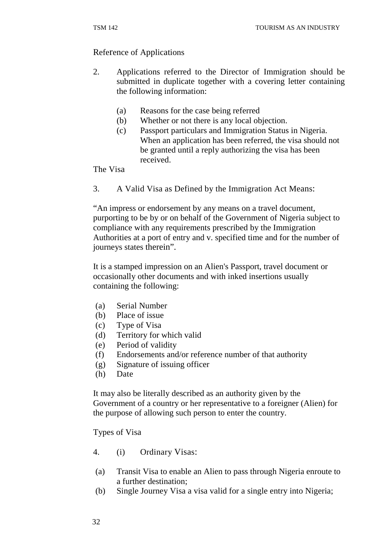#### Reference of Applications

- 2. Applications referred to the Director of Immigration should be submitted in duplicate together with a covering letter containing the following information:
	- (a) Reasons for the case being referred
	- (b) Whether or not there is any local objection.
	- (c) Passport particulars and Immigration Status in Nigeria. When an application has been referred, the visa should not be granted until a reply authorizing the visa has been received.

The Visa

3. A Valid Visa as Defined by the Immigration Act Means:

"An impress or endorsement by any means on a travel document, purporting to be by or on behalf of the Government of Nigeria subject to compliance with any requirements prescribed by the Immigration Authorities at a port of entry and v. specified time and for the number of journeys states therein".

It is a stamped impression on an Alien's Passport, travel document or occasionally other documents and with inked insertions usually containing the following:

- (a) Serial Number
- (b) Place of issue
- (c) Type of Visa
- (d) Territory for which valid
- (e) Period of validity
- (f) Endorsements and/or reference number of that authority
- (g) Signature of issuing officer
- (h) Date

It may also be literally described as an authority given by the Government of a country or her representative to a foreigner (Alien) for the purpose of allowing such person to enter the country.

Types of Visa

- 4. (i) Ordinary Visas:
- (a) Transit Visa to enable an Alien to pass through Nigeria enroute to a further destination;
- (b) Single Journey Visa a visa valid for a single entry into Nigeria;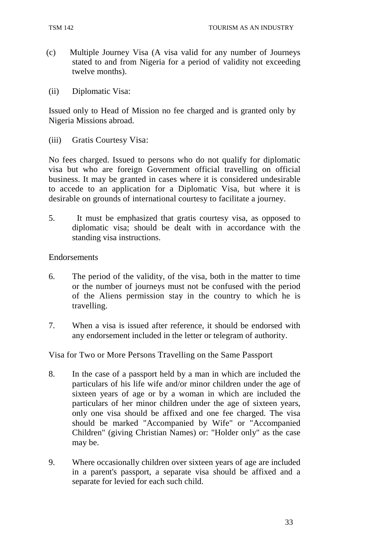- (c) Multiple Journey Visa (A visa valid for any number of Journeys stated to and from Nigeria for a period of validity not exceeding twelve months).
- (ii) Diplomatic Visa:

Issued only to Head of Mission no fee charged and is granted only by Nigeria Missions abroad.

(iii) Gratis Courtesy Visa:

No fees charged. Issued to persons who do not qualify for diplomatic visa but who are foreign Government official travelling on official business. It may be granted in cases where it is considered undesirable to accede to an application for a Diplomatic Visa, but where it is desirable on grounds of international courtesy to facilitate a journey.

5. It must be emphasized that gratis courtesy visa, as opposed to diplomatic visa; should be dealt with in accordance with the standing visa instructions.

#### Endorsements

- 6. The period of the validity, of the visa, both in the matter to time or the number of journeys must not be confused with the period of the Aliens permission stay in the country to which he is travelling.
- 7. When a visa is issued after reference, it should be endorsed with any endorsement included in the letter or telegram of authority.

Visa for Two or More Persons Travelling on the Same Passport

- 8. In the case of a passport held by a man in which are included the particulars of his life wife and/or minor children under the age of sixteen years of age or by a woman in which are included the particulars of her minor children under the age of sixteen years, only one visa should be affixed and one fee charged. The visa should be marked "Accompanied by Wife" or "Accompanied Children" (giving Christian Names) or: "Holder only" as the case may be.
- 9. Where occasionally children over sixteen years of age are included in a parent's passport, a separate visa should be affixed and a separate for levied for each such child.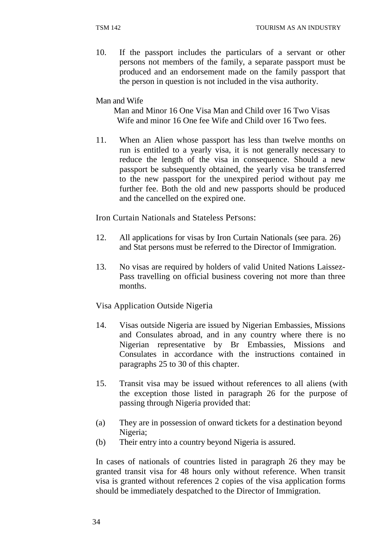10. If the passport includes the particulars of a servant or other persons not members of the family, a separate passport must be produced and an endorsement made on the family passport that the person in question is not included in the visa authority.

Man and Wife

Man and Minor 16 One Visa Man and Child over 16 Two Visas Wife and minor 16 One fee Wife and Child over 16 Two fees.

11. When an Alien whose passport has less than twelve months on run is entitled to a yearly visa, it is not generally necessary to reduce the length of the visa in consequence. Should a new passport be subsequently obtained, the yearly visa be transferred to the new passport for the unexpired period without pay me further fee. Both the old and new passports should be produced and the cancelled on the expired one.

Iron Curtain Nationals and Stateless Persons:

- 12. All applications for visas by Iron Curtain Nationals (see para. 26) and Stat persons must be referred to the Director of Immigration.
- 13. No visas are required by holders of valid United Nations Laissez-Pass travelling on official business covering not more than three months.

Visa Application Outside Nigeria

- 14. Visas outside Nigeria are issued by Nigerian Embassies, Missions and Consulates abroad, and in any country where there is no Nigerian representative by Br Embassies, Missions and Consulates in accordance with the instructions contained in paragraphs 25 to 30 of this chapter.
- 15. Transit visa may be issued without references to all aliens (with the exception those listed in paragraph 26 for the purpose of passing through Nigeria provided that:
- (a) They are in possession of onward tickets for a destination beyond Nigeria;
- (b) Their entry into a country beyond Nigeria is assured.

In cases of nationals of countries listed in paragraph 26 they may be granted transit visa for 48 hours only without reference. When transit visa is granted without references 2 copies of the visa application forms should be immediately despatched to the Director of Immigration.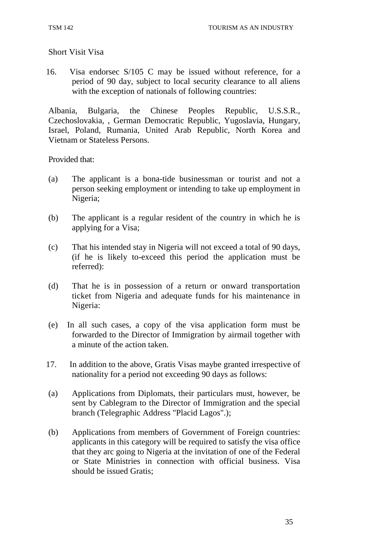Short Visit Visa

16. Visa endorsec S/105 C may be issued without reference, for a period of 90 day, subject to local security clearance to all aliens with the exception of nationals of following countries:

Albania, Bulgaria, the Chinese Peoples Republic, U.S.S.R., Czechoslovakia, , German Democratic Republic, Yugoslavia, Hungary, Israel, Poland, Rumania, United Arab Republic, North Korea and Vietnam or Stateless Persons.

Provided that:

- (a) The applicant is a bona-tide businessman or tourist and not a person seeking employment or intending to take up employment in Nigeria;
- (b) The applicant is a regular resident of the country in which he is applying for a Visa;
- (c) That his intended stay in Nigeria will not exceed a total of 90 days, (if he is likely to-exceed this period the application must be referred):
- (d) That he is in possession of a return or onward transportation ticket from Nigeria and adequate funds for his maintenance in Nigeria:
- (e) In all such cases, a copy of the visa application form must be forwarded to the Director of Immigration by airmail together with a minute of the action taken.
- 17. In addition to the above, Gratis Visas maybe granted irrespective of nationality for a period not exceeding 90 days as follows:
- (a) Applications from Diplomats, their particulars must, however, be sent by Cablegram to the Director of Immigration and the special branch (Telegraphic Address "Placid Lagos".);
- (b) Applications from members of Government of Foreign countries: applicants in this category will be required to satisfy the visa office that they arc going to Nigeria at the invitation of one of the Federal or State Ministries in connection with official business. Visa should be issued Gratis;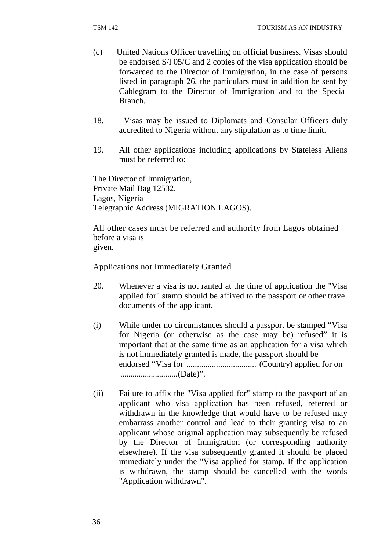- (c) United Nations Officer travelling on official business. Visas should be endorsed S/l 05/C and 2 copies of the visa application should be forwarded to the Director of Immigration, in the case of persons listed in paragraph 26, the particulars must in addition be sent by Cablegram to the Director of Immigration and to the Special Branch.
- 18. Visas may be issued to Diplomats and Consular Officers duly accredited to Nigeria without any stipulation as to time limit.
- 19. All other applications including applications by Stateless Aliens must be referred to:

The Director of Immigration, Private Mail Bag 12532. Lagos, Nigeria Telegraphic Address (MIGRATION LAGOS).

All other cases must be referred and authority from Lagos obtained before a visa is given.

Applications not Immediately Granted

- 20. Whenever a visa is not ranted at the time of application the "Visa applied for" stamp should be affixed to the passport or other travel documents of the applicant.
- (i) While under no circumstances should a passport be stamped "Visa for Nigeria (or otherwise as the case may be) refused" it is important that at the same time as an application for a visa which is not immediately granted is made, the passport should be endorsed "Visa for ................................. (Country) applied for on ............................ (Date)".
- (ii) Failure to affix the "Visa applied for" stamp to the passport of an applicant who visa application has been refused, referred or withdrawn in the knowledge that would have to be refused may embarrass another control and lead to their granting visa to an applicant whose original application may subsequently be refused by the Director of Immigration (or corresponding authority elsewhere). If the visa subsequently granted it should be placed immediately under the "Visa applied for stamp. If the application is withdrawn, the stamp should be cancelled with the words "Application withdrawn".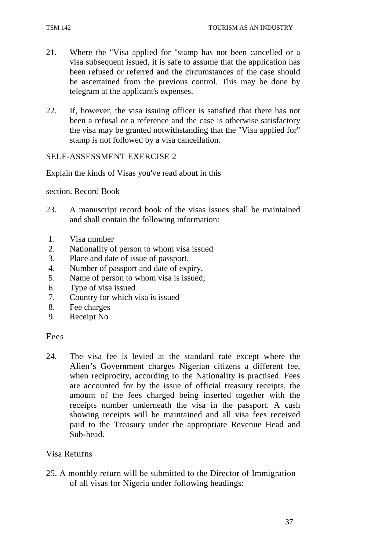- 21. Where the "Visa applied for "stamp has not been cancelled or a visa subsequent issued, it is safe to assume that the application has been refused or referred and the circumstances of the case should be ascertained from the previous control. This may be done by telegram at the applicant's expenses.
- 22. If, however, the visa issuing officer is satisfied that there has not been a refusal or a reference and the case is otherwise satisfactory the visa may be granted notwithstanding that the "Visa applied for" stamp is not followed by a visa cancellation.

#### SELF-ASSESSMENT EXERCISE 2

Explain the kinds of Visas you've read about in this

section. Record Book

- 23. A manuscript record book of the visas issues shall be maintained and shall contain the following information:
- 1. Visa number
- 2. Nationality of person to whom visa issued
- 3. Place and date of issue of passport.
- 4. Number of passport and date of expiry,
- 5. Name of person to whom visa is issued;
- 6. Type of visa issued
- 7. Country for which visa is issued
- 8. Fee charges
- 9. Receipt No

#### Fees

24. The visa fee is levied at the standard rate except where the Alien's Government charges Nigerian citizens a different fee, when reciprocity, according to the Nationality is practised. Fees are accounted for by the issue of official treasury receipts, the amount of the fees charged being inserted together with the receipts number underneath the visa in the passport. A cash showing receipts will be maintained and all visa fees received paid to the Treasury under the appropriate Revenue Head and Sub-head.

#### Visa Returns

25. A monthly return will be submitted to the Director of Immigration of all visas for Nigeria under following headings: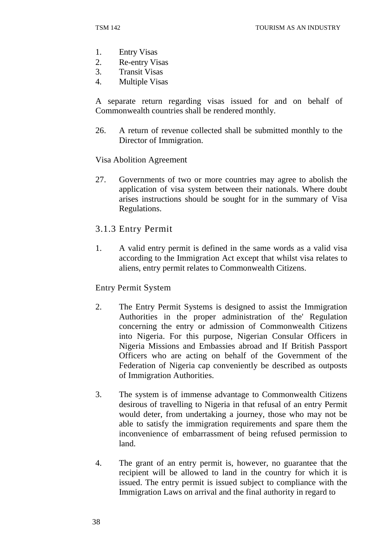- 1. Entry Visas
- 2. Re-entry Visas
- 3. Transit Visas
- 4. Multiple Visas

A separate return regarding visas issued for and on behalf of Commonwealth countries shall be rendered monthly.

26. A return of revenue collected shall be submitted monthly to the Director of Immigration.

Visa Abolition Agreement

- 27. Governments of two or more countries may agree to abolish the application of visa system between their nationals. Where doubt arises instructions should be sought for in the summary of Visa Regulations.
- 3.1.3 Entry Permit
- 1. A valid entry permit is defined in the same words as a valid visa according to the Immigration Act except that whilst visa relates to aliens, entry permit relates to Commonwealth Citizens.

Entry Permit System

- 2. The Entry Permit Systems is designed to assist the Immigration Authorities in the proper administration of the' Regulation concerning the entry or admission of Commonwealth Citizens into Nigeria. For this purpose, Nigerian Consular Officers in Nigeria Missions and Embassies abroad and If British Passport Officers who are acting on behalf of the Government of the Federation of Nigeria cap conveniently be described as outposts of Immigration Authorities.
- 3. The system is of immense advantage to Commonwealth Citizens desirous of travelling to Nigeria in that refusal of an entry Permit would deter, from undertaking a journey, those who may not be able to satisfy the immigration requirements and spare them the inconvenience of embarrassment of being refused permission to land.
- 4. The grant of an entry permit is, however, no guarantee that the recipient will be allowed to land in the country for which it is issued. The entry permit is issued subject to compliance with the Immigration Laws on arrival and the final authority in regard to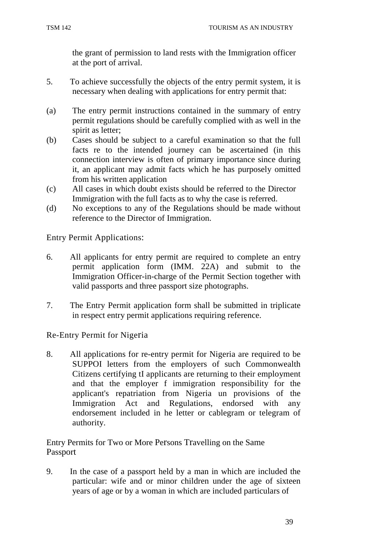the grant of permission to land rests with the Immigration officer at the port of arrival.

- 5. To achieve successfully the objects of the entry permit system, it is necessary when dealing with applications for entry permit that:
- (a) The entry permit instructions contained in the summary of entry permit regulations should be carefully complied with as well in the spirit as letter;
- (b) Cases should be subject to a careful examination so that the full facts re to the intended journey can be ascertained (in this connection interview is often of primary importance since during it, an applicant may admit facts which he has purposely omitted from his written application
- (c) All cases in which doubt exists should be referred to the Director Immigration with the full facts as to why the case is referred.
- (d) No exceptions to any of the Regulations should be made without reference to the Director of Immigration.

Entry Permit Applications:

- 6. All applicants for entry permit are required to complete an entry permit application form (IMM. 22A) and submit to the Immigration Officer-in-charge of the Permit Section together with valid passports and three passport size photographs.
- 7. The Entry Permit application form shall be submitted in triplicate in respect entry permit applications requiring reference.

Re-Entry Permit for Nigeria

8. All applications for re-entry permit for Nigeria are required to be SUPPOI letters from the employers of such Commonwealth Citizens certifying tI applicants are returning to their employment and that the employer f immigration responsibility for the applicant's repatriation from Nigeria un provisions of the Immigration Act and Regulations, endorsed with any endorsement included in he letter or cablegram or telegram of authority.

Entry Permits for Two or More Persons Travelling on the Same Passport

9. In the case of a passport held by a man in which are included the particular: wife and or minor children under the age of sixteen years of age or by a woman in which are included particulars of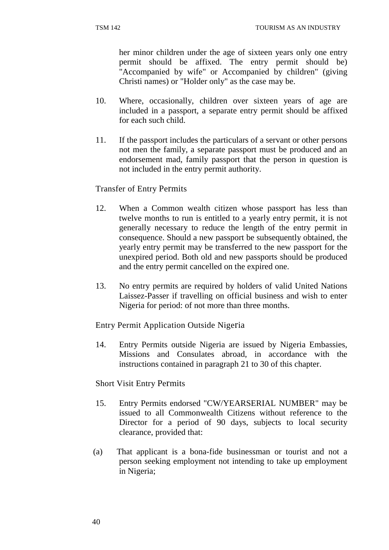her minor children under the age of sixteen years only one entry permit should be affixed. The entry permit should be) "Accompanied by wife" or Accompanied by children" (giving Christi names) or "Holder only" as the case may be.

- 10. Where, occasionally, children over sixteen years of age are included in a passport, a separate entry permit should be affixed for each such child.
- 11. If the passport includes the particulars of a servant or other persons not men the family, a separate passport must be produced and an endorsement mad, family passport that the person in question is not included in the entry permit authority.

#### Transfer of Entry Permits

- 12. When a Common wealth citizen whose passport has less than twelve months to run is entitled to a yearly entry permit, it is not generally necessary to reduce the length of the entry permit in consequence. Should a new passport be subsequently obtained, the yearly entry permit may be transferred to the new passport for the unexpired period. Both old and new passports should be produced and the entry permit cancelled on the expired one.
- 13. No entry permits are required by holders of valid United Nations Laissez-Passer if travelling on official business and wish to enter Nigeria for period: of not more than three months.

Entry Permit Application Outside Nigeria

14. Entry Permits outside Nigeria are issued by Nigeria Embassies, Missions and Consulates abroad, in accordance with the instructions contained in paragraph 21 to 30 of this chapter.

Short Visit Entry Permits

- 15. Entry Permits endorsed "CW/YEARSERIAL NUMBER" may be issued to all Commonwealth Citizens without reference to the Director for a period of 90 days, subjects to local security clearance, provided that:
- (a) That applicant is a bona-fide businessman or tourist and not a person seeking employment not intending to take up employment in Nigeria;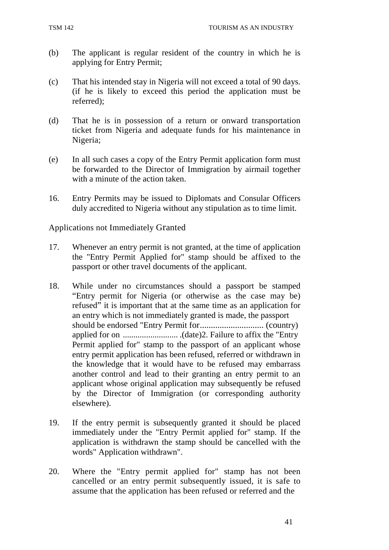- (b) The applicant is regular resident of the country in which he is applying for Entry Permit;
- (c) That his intended stay in Nigeria will not exceed a total of 90 days. (if he is likely to exceed this period the application must be referred);
- (d) That he is in possession of a return or onward transportation ticket from Nigeria and adequate funds for his maintenance in Nigeria;
- (e) In all such cases a copy of the Entry Permit application form must be forwarded to the Director of Immigration by airmail together with a minute of the action taken.
- 16. Entry Permits may be issued to Diplomats and Consular Officers duly accredited to Nigeria without any stipulation as to time limit.

Applications not Immediately Granted

- 17. Whenever an entry permit is not granted, at the time of application the "Entry Permit Applied for" stamp should be affixed to the passport or other travel documents of the applicant.
- 18. While under no circumstances should a passport be stamped "Entry permit for Nigeria (or otherwise as the case may be) refused" it is important that at the same time as an application for an entry which is not immediately granted is made, the passport should be endorsed "Entry Permit for ............................. (country) applied for on .......................... .(date)2. Failure to affix the "Entry Permit applied for" stamp to the passport of an applicant whose entry permit application has been refused, referred or withdrawn in the knowledge that it would have to be refused may embarrass another control and lead to their granting an entry permit to an applicant whose original application may subsequently be refused by the Director of Immigration (or corresponding authority elsewhere).
- 19. If the entry permit is subsequently granted it should be placed immediately under the "Entry Permit applied for" stamp. If the application is withdrawn the stamp should be cancelled with the words" Application withdrawn".
- 20. Where the "Entry permit applied for" stamp has not been cancelled or an entry permit subsequently issued, it is safe to assume that the application has been refused or referred and the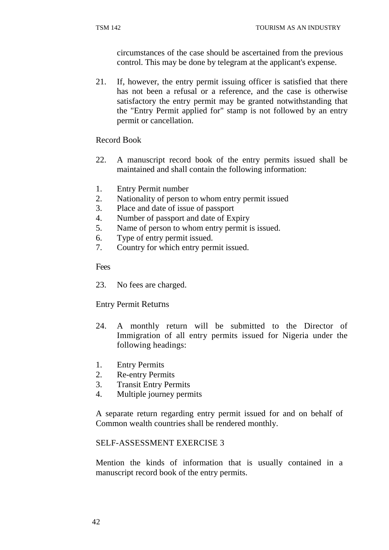circumstances of the case should be ascertained from the previous control. This may be done by telegram at the applicant's expense.

21. If, however, the entry permit issuing officer is satisfied that there has not been a refusal or a reference, and the case is otherwise satisfactory the entry permit may be granted notwithstanding that the "Entry Permit applied for" stamp is not followed by an entry permit or cancellation.

Record Book

- 22. A manuscript record book of the entry permits issued shall be maintained and shall contain the following information:
- 1. Entry Permit number
- 2. Nationality of person to whom entry permit issued
- 3. Place and date of issue of passport
- 4. Number of passport and date of Expiry
- 5. Name of person to whom entry permit is issued.
- 6. Type of entry permit issued.
- 7. Country for which entry permit issued.

Fees

23. No fees are charged.

Entry Permit Returns

- 24. A monthly return will be submitted to the Director of Immigration of all entry permits issued for Nigeria under the following headings:
- 1. Entry Permits
- 2. Re-entry Permits
- 3. Transit Entry Permits
- 4. Multiple journey permits

A separate return regarding entry permit issued for and on behalf of Common wealth countries shall be rendered monthly.

#### SELF-ASSESSMENT EXERCISE 3

Mention the kinds of information that is usually contained in a manuscript record book of the entry permits.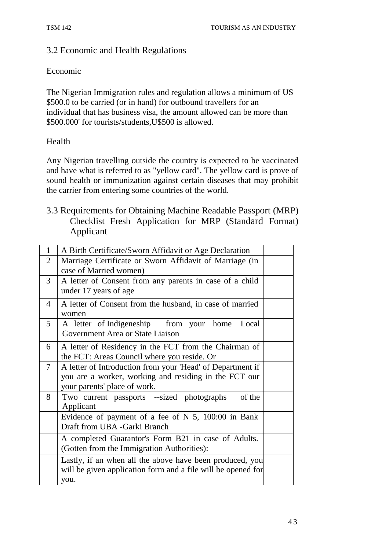## 3.2 Economic and Health Regulations

#### Economic

The Nigerian Immigration rules and regulation allows a minimum of US \$500.0 to be carried (or in hand) for outbound travellers for an individual that has business visa, the amount allowed can be more than \$500.000' for tourists/students,U\$500 is allowed.

#### Health

Any Nigerian travelling outside the country is expected to be vaccinated and have what is referred to as "yellow card". The yellow card is prove of sound health or immunization against certain diseases that may prohibit the carrier from entering some countries of the world.

3.3 Requirements for Obtaining Machine Readable Passport (MRP) Checklist Fresh Application for MRP (Standard Format) Applicant

| $\mathbf{1}$   | A Birth Certificate/Sworn Affidavit or Age Declaration                                                                                              |  |
|----------------|-----------------------------------------------------------------------------------------------------------------------------------------------------|--|
| $\overline{2}$ | Marriage Certificate or Sworn Affidavit of Marriage (in<br>case of Married women)                                                                   |  |
| 3              | A letter of Consent from any parents in case of a child<br>under 17 years of age                                                                    |  |
| $\overline{4}$ | A letter of Consent from the husband, in case of married<br>women                                                                                   |  |
| $\mathfrak{H}$ | A letter of Indigeneship from your home<br>Local<br>Government Area or State Liaison                                                                |  |
| 6              | A letter of Residency in the FCT from the Chairman of<br>the FCT: Areas Council where you reside. Or                                                |  |
| 7              | A letter of Introduction from your 'Head' of Department if<br>you are a worker, working and residing in the FCT our<br>your parents' place of work. |  |
| 8              | Two current passports --sized photographs<br>of the<br>Applicant                                                                                    |  |
|                | Evidence of payment of a fee of $N$ 5, 100:00 in Bank<br>Draft from UBA -Garki Branch                                                               |  |
|                | A completed Guarantor's Form B21 in case of Adults.<br>(Gotten from the Immigration Authorities):                                                   |  |
|                | Lastly, if an when all the above have been produced, you<br>will be given application form and a file will be opened for<br>you.                    |  |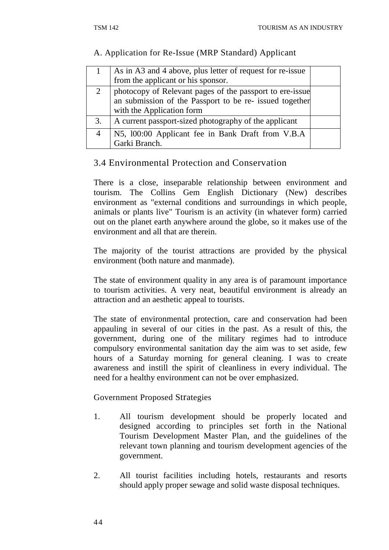#### A. Application for Re-Issue (MRP Standard) Applicant

|    | As in A3 and 4 above, plus letter of request for re-issue<br>from the applicant or his sponsor.                     |  |
|----|---------------------------------------------------------------------------------------------------------------------|--|
|    | photocopy of Relevant pages of the passport to ere-issue<br>an submission of the Passport to be re- issued together |  |
|    | with the Application form                                                                                           |  |
| 3. | A current passport-sized photography of the applicant                                                               |  |
|    | N5, 100:00 Applicant fee in Bank Draft from V.B.A                                                                   |  |
|    | Garki Branch.                                                                                                       |  |

## 3.4 Environmental Protection and Conservation

There is a close, inseparable relationship between environment and tourism. The Collins Gem English Dictionary (New) describes environment as "external conditions and surroundings in which people, animals or plants live" Tourism is an activity (in whatever form) carried out on the planet earth anywhere around the globe, so it makes use of the environment and all that are therein.

The majority of the tourist attractions are provided by the physical environment (both nature and manmade).

The state of environment quality in any area is of paramount importance to tourism activities. A very neat, beautiful environment is already an attraction and an aesthetic appeal to tourists.

The state of environmental protection, care and conservation had been appauling in several of our cities in the past. As a result of this, the government, during one of the military regimes had to introduce compulsory environmental sanitation day the aim was to set aside, few hours of a Saturday morning for general cleaning. I was to create awareness and instill the spirit of cleanliness in every individual. The need for a healthy environment can not be over emphasized.

Government Proposed Strategies

- 1. All tourism development should be properly located and designed according to principles set forth in the National Tourism Development Master Plan, and the guidelines of the relevant town planning and tourism development agencies of the government.
- 2. All tourist facilities including hotels, restaurants and resorts should apply proper sewage and solid waste disposal techniques.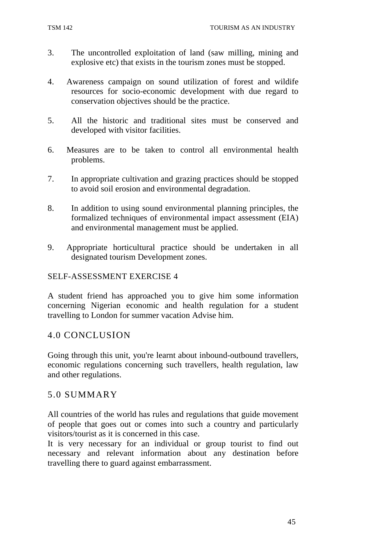- 3. The uncontrolled exploitation of land (saw milling, mining and explosive etc) that exists in the tourism zones must be stopped.
- 4. Awareness campaign on sound utilization of forest and wildife resources for socio-economic development with due regard to conservation objectives should be the practice.
- 5. All the historic and traditional sites must be conserved and developed with visitor facilities.
- 6. Measures are to be taken to control all environmental health problems.
- 7. In appropriate cultivation and grazing practices should be stopped to avoid soil erosion and environmental degradation.
- 8. In addition to using sound environmental planning principles, the formalized techniques of environmental impact assessment (EIA) and environmental management must be applied.
- 9. Appropriate horticultural practice should be undertaken in all designated tourism Development zones.

#### SELF-ASSESSMENT EXERCISE 4

A student friend has approached you to give him some information concerning Nigerian economic and health regulation for a student travelling to London for summer vacation Advise him.

#### 4.0 CONCLUSION

Going through this unit, you're learnt about inbound-outbound travellers, economic regulations concerning such travellers, health regulation, law and other regulations.

#### 5.0 SUMMARY

All countries of the world has rules and regulations that guide movement of people that goes out or comes into such a country and particularly visitors/tourist as it is concerned in this case.

It is very necessary for an individual or group tourist to find out necessary and relevant information about any destination before travelling there to guard against embarrassment.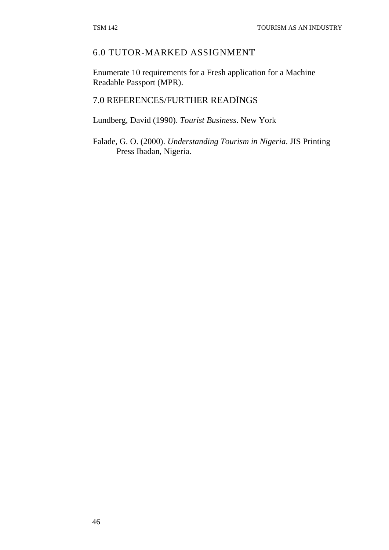#### 6.0 TUTOR-MARKED ASSIGNMENT

Enumerate 10 requirements for a Fresh application for a Machine Readable Passport (MPR).

## 7.0 REFERENCES/FURTHER READINGS

Lundberg, David (1990). *Tourist Business*. New York

Falade, G. O. (2000). *Understanding Tourism in Nigeria*. JIS Printing Press Ibadan, Nigeria.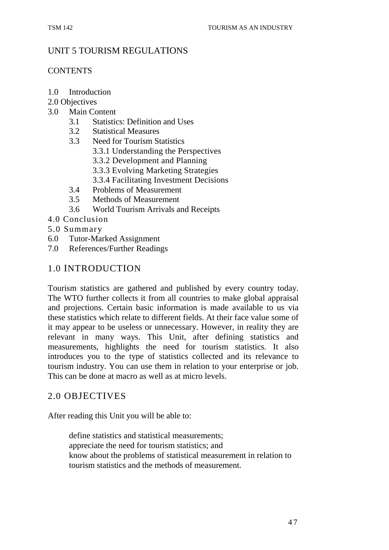## UNIT 5 TOURISM REGULATIONS

#### **CONTENTS**

- 1.0 Introduction
- 2.0 Objectives
- 3.0 Main Content
	- 3.1 Statistics: Definition and Uses
	- 3.2 Statistical Measures
	- 3.3 Need for Tourism Statistics
		- 3.3.1 Understanding the Perspectives
		- 3.3.2 Development and Planning
		- 3.3.3 Evolving Marketing Strategies
		- 3.3.4 Facilitating Investment Decisions
	- 3.4 Problems of Measurement
	- 3.5 Methods of Measurement
	- 3.6 World Tourism Arrivals and Receipts
- 4.0 Conclusion
- 5.0 Summary
- 6.0 Tutor-Marked Assignment
- 7.0 References/Further Readings

## 1.0 INTRODUCTION

Tourism statistics are gathered and published by every country today. The WTO further collects it from all countries to make global appraisal and projections. Certain basic information is made available to us via these statistics which relate to different fields. At their face value some of it may appear to be useless or unnecessary. However, in reality they are relevant in many ways. This Unit, after defining statistics and measurements, highlights the need for tourism statistics. It also introduces you to the type of statistics collected and its relevance to tourism industry. You can use them in relation to your enterprise or job. This can be done at macro as well as at micro levels.

#### 2.0 OBJECTIVES

After reading this Unit you will be able to:

define statistics and statistical measurements; appreciate the need for tourism statistics; and know about the problems of statistical measurement in relation to tourism statistics and the methods of measurement.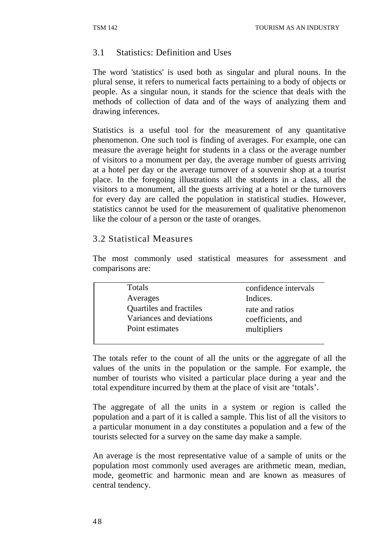## 3.1 Statistics: Definition and Uses

The word 'statistics' is used both as singular and plural nouns. In the plural sense, it refers to numerical facts pertaining to a body of objects or people. As a singular noun, it stands for the science that deals with the methods of collection of data and of the ways of analyzing them and drawing inferences.

Statistics is a useful tool for the measurement of any quantitative phenomenon. One such tool is finding of averages. For example, one can measure the average height for students in a class or the average number of visitors to a monument per day, the average number of guests arriving at a hotel per day or the average turnover of a souvenir shop at a tourist place. In the foregoing illustrations all the students in a class, all the visitors to a monument, all the guests arriving at a hotel or the turnovers for every day are called the population in statistical studies. However, statistics cannot be used for the measurement of qualitative phenomenon like the colour of a person or the taste of oranges.

## 3.2 Statistical Measures

The most commonly used statistical measures for assessment and comparisons are:

| Totals          |                                | confidence intervals |
|-----------------|--------------------------------|----------------------|
| Averages        |                                | Indices.             |
|                 | <b>Quartiles and fractiles</b> | rate and ratios      |
|                 | Variances and deviations       | coefficients, and    |
| Point estimates |                                | multipliers          |
|                 |                                |                      |

The totals refer to the count of all the units or the aggregate of all the values of the units in the population or the sample. For example, the number of tourists who visited a particular place during a year and the total expenditure incurred by them at the place of visit are 'totals'.

The aggregate of all the units in a system or region is called the population and a part of it is called a sample. This list of all the visitors to a particular monument in a day constitutes a population and a few of the tourists selected for a survey on the same day make a sample.

An average is the most representative value of a sample of units or the population most commonly used averages are arithmetic mean, median, mode, geometric and harmonic mean and are known as measures of central tendency.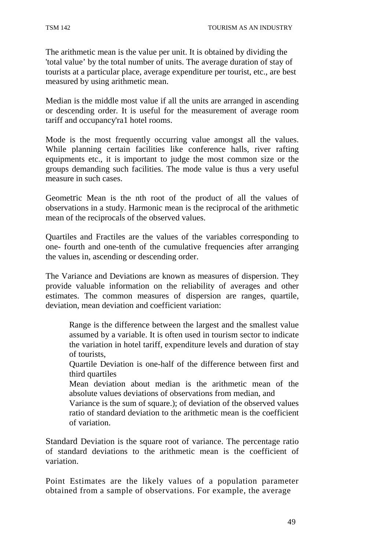The arithmetic mean is the value per unit. It is obtained by dividing the 'total value' by the total number of units. The average duration of stay of tourists at a particular place, average expenditure per tourist, etc., are best measured by using arithmetic mean.

Median is the middle most value if all the units are arranged in ascending or descending order. It is useful for the measurement of average room tariff and occupancy'ra1 hotel rooms.

Mode is the most frequently occurring value amongst all the values. While planning certain facilities like conference halls, river rafting equipments etc., it is important to judge the most common size or the groups demanding such facilities. The mode value is thus a very useful measure in such cases.

Geometric Mean is the nth root of the product of all the values of observations in a study. Harmonic mean is the reciprocal of the arithmetic mean of the reciprocals of the observed values.

Quartiles and Fractiles are the values of the variables corresponding to one- fourth and one-tenth of the cumulative frequencies after arranging the values in, ascending or descending order.

The Variance and Deviations are known as measures of dispersion. They provide valuable information on the reliability of averages and other estimates. The common measures of dispersion are ranges, quartile, deviation, mean deviation and coefficient variation:

Range is the difference between the largest and the smallest value assumed by a variable. It is often used in tourism sector to indicate the variation in hotel tariff, expenditure levels and duration of stay of tourists,

Quartile Deviation is one-half of the difference between first and third quartiles

Mean deviation about median is the arithmetic mean of the absolute values deviations of observations from median, and

Variance is the sum of square.); of deviation of the observed values ratio of standard deviation to the arithmetic mean is the coefficient of variation.

Standard Deviation is the square root of variance. The percentage ratio of standard deviations to the arithmetic mean is the coefficient of variation.

Point Estimates are the likely values of a population parameter obtained from a sample of observations. For example, the average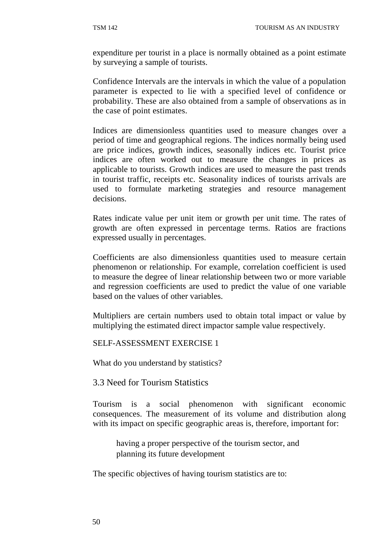expenditure per tourist in a place is normally obtained as a point estimate by surveying a sample of tourists.

Confidence Intervals are the intervals in which the value of a population parameter is expected to lie with a specified level of confidence or probability. These are also obtained from a sample of observations as in the case of point estimates.

Indices are dimensionless quantities used to measure changes over a period of time and geographical regions. The indices normally being used are price indices, growth indices, seasonally indices etc. Tourist price indices are often worked out to measure the changes in prices as applicable to tourists. Growth indices are used to measure the past trends in tourist traffic, receipts etc. Seasonality indices of tourists arrivals are used to formulate marketing strategies and resource management decisions.

Rates indicate value per unit item or growth per unit time. The rates of growth are often expressed in percentage terms. Ratios are fractions expressed usually in percentages.

Coefficients are also dimensionless quantities used to measure certain phenomenon or relationship. For example, correlation coefficient is used to measure the degree of linear relationship between two or more variable and regression coefficients are used to predict the value of one variable based on the values of other variables.

Multipliers are certain numbers used to obtain total impact or value by multiplying the estimated direct impactor sample value respectively.

SELF-ASSESSMENT EXERCISE 1

What do you understand by statistics?

3.3 Need for Tourism Statistics

Tourism is a social phenomenon with significant economic consequences. The measurement of its volume and distribution along with its impact on specific geographic areas is, therefore, important for:

having a proper perspective of the tourism sector, and planning its future development

The specific objectives of having tourism statistics are to: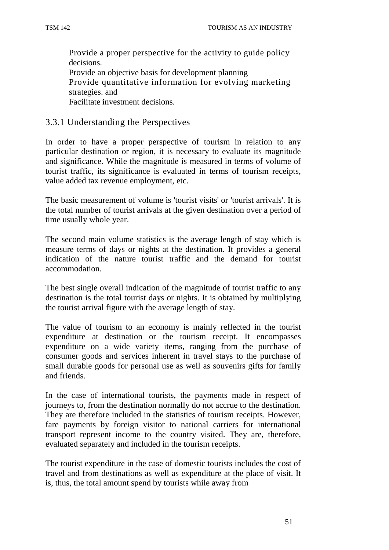Provide a proper perspective for the activity to guide policy decisions. Provide an objective basis for development planning Provide quantitative information for evolving marketing strategies. and Facilitate investment decisions.

#### 3.3.1 Understanding the Perspectives

In order to have a proper perspective of tourism in relation to any particular destination or region, it is necessary to evaluate its magnitude and significance. While the magnitude is measured in terms of volume of tourist traffic, its significance is evaluated in terms of tourism receipts, value added tax revenue employment, etc.

The basic measurement of volume is 'tourist visits' or 'tourist arrivals'. It is the total number of tourist arrivals at the given destination over a period of time usually whole year.

The second main volume statistics is the average length of stay which is measure terms of days or nights at the destination. It provides a general indication of the nature tourist traffic and the demand for tourist accommodation.

The best single overall indication of the magnitude of tourist traffic to any destination is the total tourist days or nights. It is obtained by multiplying the tourist arrival figure with the average length of stay.

The value of tourism to an economy is mainly reflected in the tourist expenditure at destination or the tourism receipt. It encompasses expenditure on a wide variety items, ranging from the purchase of consumer goods and services inherent in travel stays to the purchase of small durable goods for personal use as well as souvenirs gifts for family and friends.

In the case of international tourists, the payments made in respect of journeys to, from the destination normally do not accrue to the destination. They are therefore included in the statistics of tourism receipts. However, fare payments by foreign visitor to national carriers for international transport represent income to the country visited. They are, therefore, evaluated separately and included in the tourism receipts.

The tourist expenditure in the case of domestic tourists includes the cost of travel and from destinations as well as expenditure at the place of visit. It is, thus, the total amount spend by tourists while away from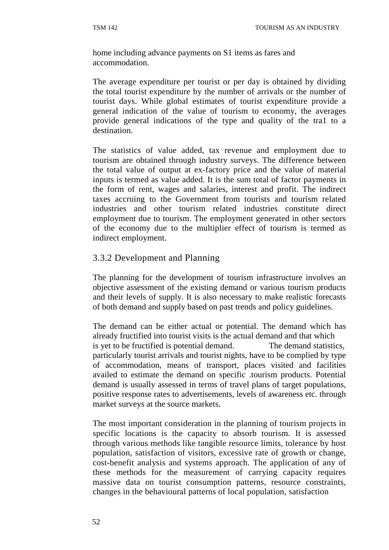home including advance payments on S1 items as fares and accommodation.

The average expenditure per tourist or per day is obtained by dividing the total tourist expenditure by the number of arrivals or the number of tourist days. While global estimates of tourist expenditure provide a general indication of the value of tourism to economy, the averages provide general indications of the type and quality of the tra1 to a destination.

The statistics of value added, tax revenue and employment due to tourism are obtained through industry surveys. The difference between the total value of output at ex-factory price and the value of material inputs is termed as value added. It is the sum total of factor payments in the form of rent, wages and salaries, interest and profit. The indirect taxes accruing to the Government from tourists and tourism related industries and other tourism related industries constitute direct employment due to tourism. The employment generated in other sectors of the economy due to the multiplier effect of tourism is termed as indirect employment.

## 3.3.2 Development and Planning

The planning for the development of tourism infrastructure involves an objective assessment of the existing demand or various tourism products and their levels of supply. It is also necessary to make realistic forecasts of both demand and supply based on past trends and policy guidelines.

The demand can be either actual or potential. The demand which has already fructified into tourist visits is the actual demand and that which is yet to be fructified is potential demand. The demand statistics, particularly tourist arrivals and tourist nights, have to be complied by type of accommodation, means of transport, places visited and facilities availed to estimate the demand on specific .tourism products. Potential demand is usually assessed in terms of travel plans of target populations, positive response rates to advertisements, levels of awareness etc. through market surveys at the source markets.

The most important consideration in the planning of tourism projects in specific locations is the capacity to absorb tourism. It is assessed through various methods like tangible resource limits, tolerance by host population, satisfaction of visitors, excessive rate of growth or change, cost-benefit analysis and systems approach. The application of any of these methods for the measurement of carrying capacity requires massive data on tourist consumption patterns, resource constraints, changes in the behavioural patterns of local population, satisfaction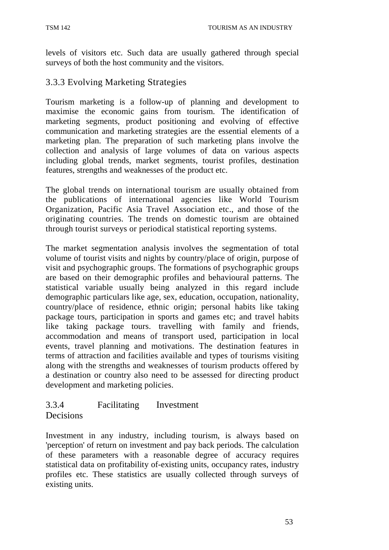levels of visitors etc. Such data are usually gathered through special surveys of both the host community and the visitors.

## 3.3.3 Evolving Marketing Strategies

Tourism marketing is a follow-up of planning and development to maximise the economic gains from tourism. The identification of marketing segments, product positioning and evolving of effective communication and marketing strategies are the essential elements of a marketing plan. The preparation of such marketing plans involve the collection and analysis of large volumes of data on various aspects including global trends, market segments, tourist profiles, destination features, strengths and weaknesses of the product etc.

The global trends on international tourism are usually obtained from the publications of international agencies like World Tourism Organization, Pacific Asia Travel Association etc., and those of the originating countries. The trends on domestic tourism are obtained through tourist surveys or periodical statistical reporting systems.

The market segmentation analysis involves the segmentation of total volume of tourist visits and nights by country/place of origin, purpose of visit and psychographic groups. The formations of psychographic groups are based on their demographic profiles and behavioural patterns. The statistical variable usually being analyzed in this regard include demographic particulars like age, sex, education, occupation, nationality, country/place of residence, ethnic origin; personal habits like taking package tours, participation in sports and games etc; and travel habits like taking package tours. travelling with family and friends, accommodation and means of transport used, participation in local events, travel planning and motivations. The destination features in terms of attraction and facilities available and types of tourisms visiting along with the strengths and weaknesses of tourism products offered by a destination or country also need to be assessed for directing product development and marketing policies.

#### 3.3.4 Facilitating Investment Decisions

Investment in any industry, including tourism, is always based on 'perception' of return on investment and pay back periods. The calculation of these parameters with a reasonable degree of accuracy requires statistical data on profitability of-existing units, occupancy rates, industry profiles etc. These statistics are usually collected through surveys of existing units.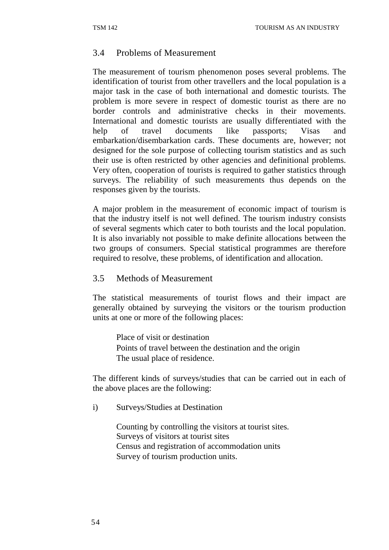## 3.4 Problems of Measurement

The measurement of tourism phenomenon poses several problems. The identification of tourist from other travellers and the local population is a major task in the case of both international and domestic tourists. The problem is more severe in respect of domestic tourist as there are no border controls and administrative checks in their movements. International and domestic tourists are usually differentiated with the help of travel documents like passports; Visas and embarkation/disembarkation cards. These documents are, however; not designed for the sole purpose of collecting tourism statistics and as such their use is often restricted by other agencies and definitional problems. Very often, cooperation of tourists is required to gather statistics through surveys. The reliability of such measurements thus depends on the responses given by the tourists.

A major problem in the measurement of economic impact of tourism is that the industry itself is not well defined. The tourism industry consists of several segments which cater to both tourists and the local population. It is also invariably not possible to make definite allocations between the two groups of consumers. Special statistical programmes are therefore required to resolve, these problems, of identification and allocation.

## 3.5 Methods of Measurement

The statistical measurements of tourist flows and their impact are generally obtained by surveying the visitors or the tourism production units at one or more of the following places:

Place of visit or destination Points of travel between the destination and the origin The usual place of residence.

The different kinds of surveys/studies that can be carried out in each of the above places are the following:

i) Surveys/Studies at Destination

Counting by controlling the visitors at tourist sites. Surveys of visitors at tourist sites Census and registration of accommodation units Survey of tourism production units.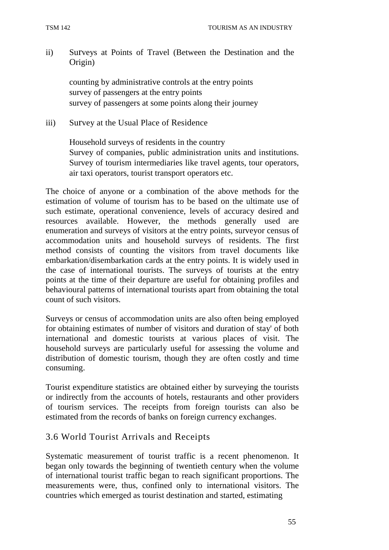ii) Surveys at Points of Travel (Between the Destination and the Origin)

counting by administrative controls at the entry points survey of passengers at the entry points survey of passengers at some points along their journey

iii) Survey at the Usual Place of Residence

Household surveys of residents in the country Survey of companies, public administration units and institutions. Survey of tourism intermediaries like travel agents, tour operators, air taxi operators, tourist transport operators etc.

The choice of anyone or a combination of the above methods for the estimation of volume of tourism has to be based on the ultimate use of such estimate, operational convenience, levels of accuracy desired and resources available. However, the methods generally used are enumeration and surveys of visitors at the entry points, surveyor census of accommodation units and household surveys of residents. The first method consists of counting the visitors from travel documents like embarkation/disembarkation cards at the entry points. It is widely used in the case of international tourists. The surveys of tourists at the entry points at the time of their departure are useful for obtaining profiles and behavioural patterns of international tourists apart from obtaining the total count of such visitors.

Surveys or census of accommodation units are also often being employed for obtaining estimates of number of visitors and duration of stay' of both international and domestic tourists at various places of visit. The household surveys are particularly useful for assessing the volume and distribution of domestic tourism, though they are often costly and time consuming.

Tourist expenditure statistics are obtained either by surveying the tourists or indirectly from the accounts of hotels, restaurants and other providers of tourism services. The receipts from foreign tourists can also be estimated from the records of banks on foreign currency exchanges.

#### 3.6 World Tourist Arrivals and Receipts

Systematic measurement of tourist traffic is a recent phenomenon. It began only towards the beginning of twentieth century when the volume of international tourist traffic began to reach significant proportions. The measurements were, thus, confined only to international visitors. The countries which emerged as tourist destination and started, estimating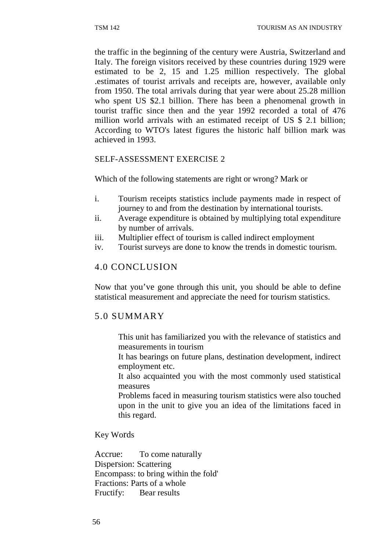the traffic in the beginning of the century were Austria, Switzerland and Italy. The foreign visitors received by these countries during 1929 were estimated to be 2, 15 and 1.25 million respectively. The global .estimates of tourist arrivals and receipts are, however, available only from 1950. The total arrivals during that year were about 25.28 million who spent US \$2.1 billion. There has been a phenomenal growth in tourist traffic since then and the year 1992 recorded a total of 476 million world arrivals with an estimated receipt of US \$ 2.1 billion; According to WTO's latest figures the historic half billion mark was achieved in 1993.

## SELF-ASSESSMENT EXERCISE 2

Which of the following statements are right or wrong? Mark or

- i. Tourism receipts statistics include payments made in respect of journey to and from the destination by international tourists.
- ii. Average expenditure is obtained by multiplying total expenditure by number of arrivals.
- iii. Multiplier effect of tourism is called indirect employment
- iv. Tourist surveys are done to know the trends in domestic tourism.

## 4.0 CONCLUSION

Now that you've gone through this unit, you should be able to define statistical measurement and appreciate the need for tourism statistics.

## 5.0 SUMMARY

This unit has familiarized you with the relevance of statistics and measurements in tourism

It has bearings on future plans, destination development, indirect employment etc.

It also acquainted you with the most commonly used statistical measures

Problems faced in measuring tourism statistics were also touched upon in the unit to give you an idea of the limitations faced in this regard.

Key Words

Accrue: To come naturally Dispersion: Scattering Encompass: to bring within the fold' Fractions: Parts of a whole Fructify: Bear results